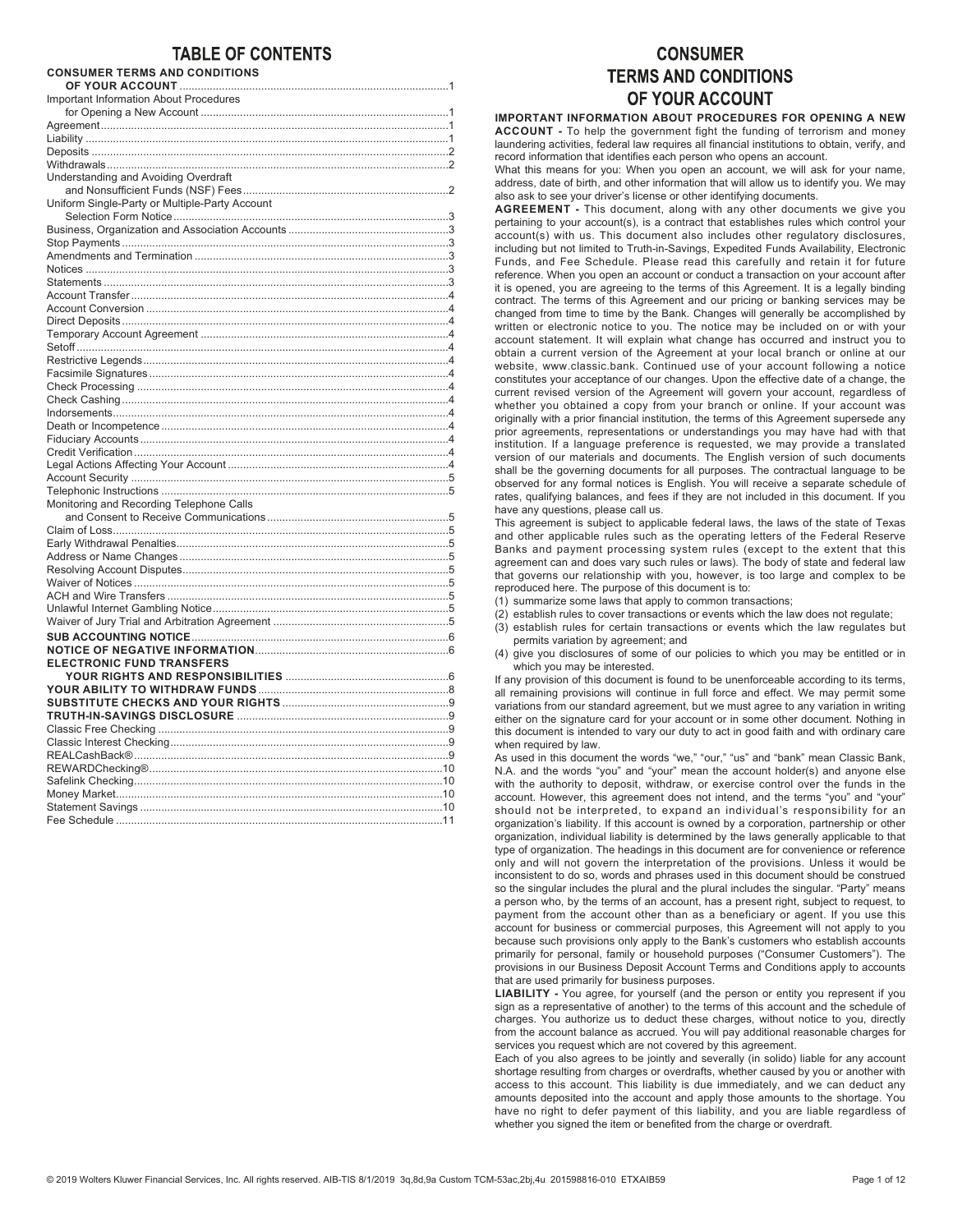# **TABLE OF CONTENTS**

## CONSUMER TERMS AND CONDITIONS

| <b>Important Information About Procedures</b>  |  |
|------------------------------------------------|--|
|                                                |  |
|                                                |  |
|                                                |  |
|                                                |  |
|                                                |  |
| Understanding and Avoiding Overdraft           |  |
|                                                |  |
| Uniform Single-Party or Multiple-Party Account |  |
|                                                |  |
|                                                |  |
|                                                |  |
|                                                |  |
|                                                |  |
|                                                |  |
|                                                |  |
|                                                |  |
|                                                |  |
|                                                |  |
|                                                |  |
|                                                |  |
|                                                |  |
|                                                |  |
|                                                |  |
|                                                |  |
|                                                |  |
|                                                |  |
|                                                |  |
|                                                |  |
|                                                |  |
|                                                |  |
| Monitoring and Recording Telephone Calls       |  |
|                                                |  |
|                                                |  |
|                                                |  |
|                                                |  |
|                                                |  |
|                                                |  |
|                                                |  |
|                                                |  |
|                                                |  |
|                                                |  |
|                                                |  |
| <b>ELECTRONIC FUND TRANSFERS</b>               |  |
|                                                |  |
|                                                |  |
|                                                |  |
|                                                |  |
|                                                |  |
|                                                |  |
|                                                |  |
|                                                |  |
|                                                |  |
|                                                |  |
|                                                |  |

# **CONSUMER TERMS AND CONDITIONS** OF YOUR ACCOUNT

IMPORTANT INFORMATION ABOUT PROCEDURES FOR OPENING A NEW ACCOUNT - To help the government fight the funding of terrorism and money laundering activities, federal law requires all financial institutions to obtain, verify, and record information that identifies each person who opens an account.

What this means for you: When you open an account, we will ask for your name, address, date of birth, and other information that will allow us to identify you. We may also ask to see your driver's license or other identifying documents.

AGREEMENT - This document, along with any other documents we give you pertaining to your account(s), is a contract that establishes rules which control your account(s) with us. This document also includes other regulatory disclosures, including but not limited to Truth-in-Savings, Expedited Funds Availability, Electronic Funds, and Fee Schedule. Please read this carefully and retain it for future reference. When you open an account or conduct a transaction on your account after it is opened, you are agreeing to the terms of this Agreement. It is a legally binding contract. The terms of this Agreement and our pricing or banking services may be changed from time to time by the Bank. Changes will generally be accomplished by written or electronic notice to you. The notice may be included on or with your account statement. It will explain what change has occurred and instruct you to obtain a current version of the Agreement at your local branch or online at our website, www.classic.bank. Continued use of your account following a notice constitutes your acceptance of our changes. Upon the effective date of a change, the current revised version of the Agreement will govern your account, regardless of whether you obtained a copy from your branch or online. If your account was originally with a prior financial institution, the terms of this Agreement supersede any prior agreements, representations or understandings you may have had with that institution. If a language preference is requested, we may provide a translated version of our materials and documents. The English version of such documents shall be the governing documents for all purposes. The contractual language to be observed for any formal notices is English. You will receive a separate schedule of rates, qualifying balances, and fees if they are not included in this document. If you have any questions, please call us.

This agreement is subject to applicable federal laws, the laws of the state of Texas and other applicable rules such as the operating letters of the Federal Reserve Banks and payment processing system rules (except to the extent that this agreement can and does vary such rules or laws). The body of state and federal law that governs our relationship with you, however, is too large and complex to be reproduced here. The purpose of this document is to:

(1) summarize some laws that apply to common transactions;

- (2) establish rules to cover transactions or events which the law does not regulate;
- (3) establish rules for certain transactions or events which the law regulates but permits variation by agreement; and
- (4) give you disclosures of some of our policies to which you may be entitled or in which you may be interested.

If any provision of this document is found to be unenforceable according to its terms, all remaining provisions will continue in full force and effect. We may permit some variations from our standard agreement, but we must agree to any variation in writing either on the signature card for your account or in some other document. Nothing in this document is intended to vary our duty to act in good faith and with ordinary care when required by law.

As used in this document the words "we," "our," "us" and "bank" mean Classic Bank, N.A. and the words "you" and "your" mean the account holder(s) and anyone else with the authority to deposit, withdraw, or exercise control over the funds in the account. However, this agreement does not intend, and the terms "you" and "your" should not be interpreted, to expand an individual's responsibility for an organization's liability. If this account is owned by a corporation, partnership or other organization, individual liability is determined by the laws generally applicable to that type of organization. The headings in this document are for convenience or reference only and will not govern the interpretation of the provisions. Unless it would be inconsistent to do so, words and phrases used in this document should be construed so the singular includes the plural and the plural includes the singular. "Party" means a person who, by the terms of an account, has a present right, subject to request, to payment from the account other than as a beneficiary or agent. If you use this account for business or commercial purposes, this Agreement will not apply to you because such provisions only apply to the Bank's customers who establish accounts primarily for personal, family or household purposes ("Consumer Customers"). The provisions in our Business Deposit Account Terms and Conditions apply to accounts that are used primarily for business purposes.

LIABILITY - You agree, for yourself (and the person or entity you represent if you sign as a representative of another) to the terms of this account and the schedule of charges. You authorize us to deduct these charges, without notice to you, directly from the account balance as accrued. You will pay additional reasonable charges for services you request which are not covered by this agreement.

Each of you also agrees to be jointly and severally (in solido) liable for any account shortage resulting from charges or overdrafts, whether caused by you or another with access to this account. This liability is due immediately, and we can deduct any amounts deposited into the account and apply those amounts to the shortage. You have no right to defer payment of this liability, and you are liable regardless of whether you signed the item or benefited from the charge or overdraft.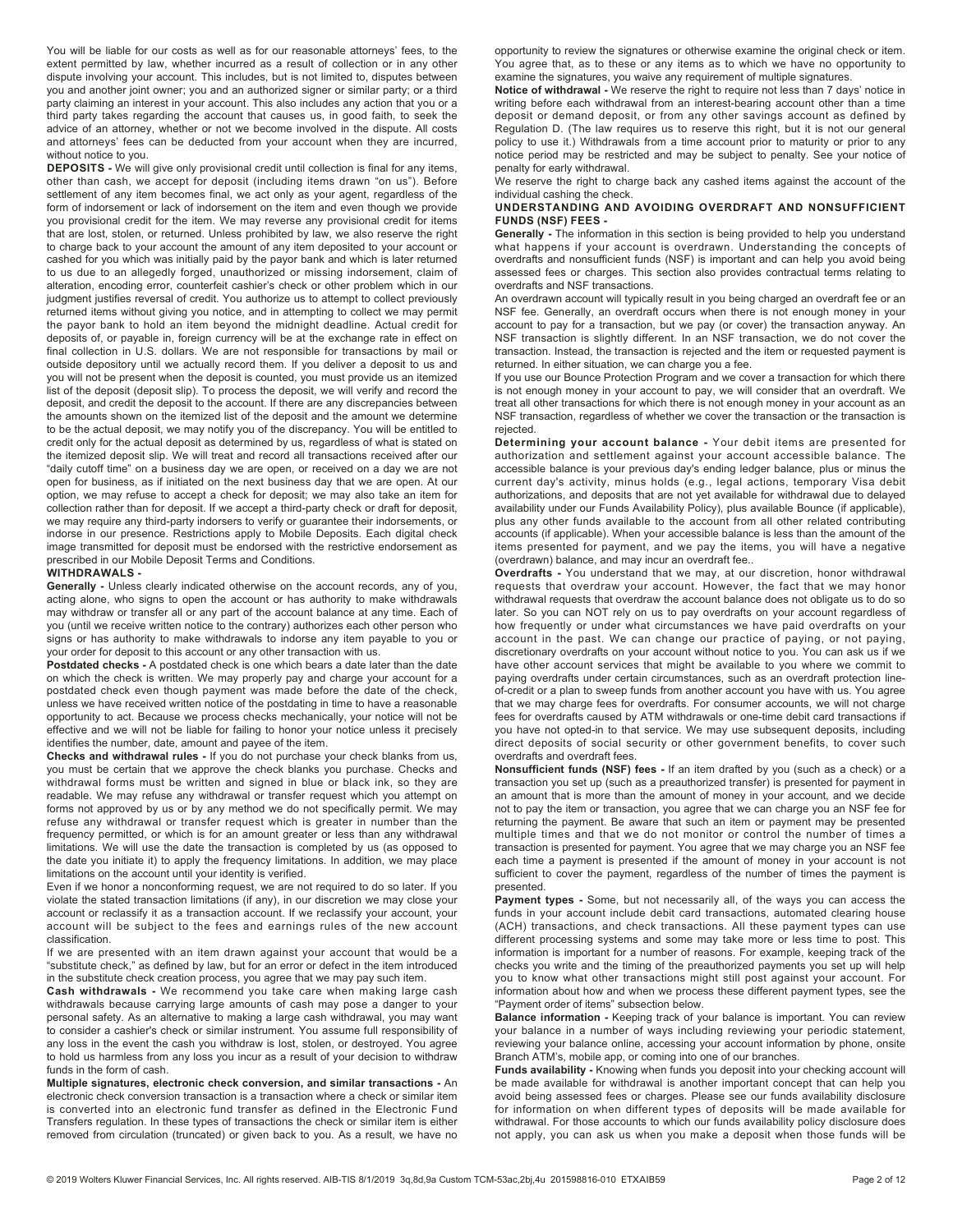You will be liable for our costs as well as for our reasonable attorneys' fees, to the extent permitted by law, whether incurred as a result of collection or in any other dispute involving your account. This includes, but is not limited to, disputes between you and another joint owner; you and an authorized signer or similar party; or a third party claiming an interest in your account. This also includes any action that you or a third party takes regarding the account that causes us, in good faith, to seek the advice of an attorney, whether or not we become involved in the dispute. All costs and attorneys' fees can be deducted from your account when they are incurred, without notice to you.

DEPOSITS - We will give only provisional credit until collection is final for any items, other than cash, we accept for deposit (including items drawn "on us"). Before settlement of any item becomes final, we act only as your agent, regardless of the form of indorsement or lack of indorsement on the item and even though we provide you provisional credit for the item. We may reverse any provisional credit for items that are lost, stolen, or returned. Unless prohibited by law, we also reserve the right to charge back to your account the amount of any item deposited to your account or cashed for you which was initially paid by the payor bank and which is later returned to us due to an allegedly forged, unauthorized or missing indorsement, claim of alteration, encoding error, counterfeit cashier's check or other problem which in our judgment justifies reversal of credit. You authorize us to attempt to collect previously returned items without giving you notice, and in attempting to collect we may permit the payor bank to hold an item beyond the midnight deadline. Actual credit for deposits of, or payable in, foreign currency will be at the exchange rate in effect on final collection in U.S. dollars. We are not responsible for transactions by mail or outside depository until we actually record them. If you deliver a deposit to us and you will not be present when the deposit is counted, you must provide us an itemized list of the deposit (deposit slip). To process the deposit, we will verify and record the deposit, and credit the deposit to the account. If there are any discrepancies between the amounts shown on the itemized list of the deposit and the amount we determine to be the actual deposit, we may notify you of the discrepancy. You will be entitled to credit only for the actual deposit as determined by us, regardless of what is stated on the itemized deposit slip. We will treat and record all transactions received after our "daily cutoff time" on a business day we are open, or received on a day we are not open for business, as if initiated on the next business day that we are open. At our option, we may refuse to accept a check for deposit; we may also take an item for collection rather than for deposit. If we accept a third-party check or draft for deposit, we may require any third-party indorsers to verify or guarantee their indorsements, or indorse in our presence. Restrictions apply to Mobile Deposits. Each digital check image transmitted for deposit must be endorsed with the restrictive endorsement as prescribed in our Mobile Deposit Terms and Conditions.

### WITHDRAWALS -

Generally - Unless clearly indicated otherwise on the account records, any of you, acting alone, who signs to open the account or has authority to make withdrawals may withdraw or transfer all or any part of the account balance at any time. Each of you (until we receive written notice to the contrary) authorizes each other person who signs or has authority to make withdrawals to indorse any item payable to you or your order for deposit to this account or any other transaction with us.

Postdated checks - A postdated check is one which bears a date later than the date on which the check is written. We may properly pay and charge your account for a postdated check even though payment was made before the date of the check, unless we have received written notice of the postdating in time to have a reasonable opportunity to act. Because we process checks mechanically, your notice will not be effective and we will not be liable for failing to honor your notice unless it precisely identifies the number, date, amount and payee of the item.

Checks and withdrawal rules - If you do not purchase your check blanks from us, you must be certain that we approve the check blanks you purchase. Checks and withdrawal forms must be written and signed in blue or black ink, so they are readable. We may refuse any withdrawal or transfer request which you attempt on forms not approved by us or by any method we do not specifically permit. We may refuse any withdrawal or transfer request which is greater in number than the frequency permitted, or which is for an amount greater or less than any withdrawal limitations. We will use the date the transaction is completed by us (as opposed to the date you initiate it) to apply the frequency limitations. In addition, we may place limitations on the account until your identity is verified.

Even if we honor a nonconforming request, we are not required to do so later. If you violate the stated transaction limitations (if any), in our discretion we may close your account or reclassify it as a transaction account. If we reclassify your account, your account will be subject to the fees and earnings rules of the new account classification.

If we are presented with an item drawn against your account that would be a "substitute check," as defined by law, but for an error or defect in the item introduced in the substitute check creation process, you agree that we may pay such item.

Cash withdrawals - We recommend you take care when making large cash withdrawals because carrying large amounts of cash may pose a danger to your personal safety. As an alternative to making a large cash withdrawal, you may want to consider a cashier's check or similar instrument. You assume full responsibility of any loss in the event the cash you withdraw is lost, stolen, or destroyed. You agree to hold us harmless from any loss you incur as a result of your decision to withdraw funds in the form of cash.

Multiple signatures, electronic check conversion, and similar transactions - An electronic check conversion transaction is a transaction where a check or similar item is converted into an electronic fund transfer as defined in the Electronic Fund Transfers regulation. In these types of transactions the check or similar item is either removed from circulation (truncated) or given back to you. As a result, we have no

opportunity to review the signatures or otherwise examine the original check or item. You agree that, as to these or any items as to which we have no opportunity to examine the signatures, you waive any requirement of multiple signatures.

Notice of withdrawal - We reserve the right to require not less than 7 days' notice in writing before each withdrawal from an interest-bearing account other than a time deposit or demand deposit, or from any other savings account as defined by Regulation D. (The law requires us to reserve this right, but it is not our general policy to use it.) Withdrawals from a time account prior to maturity or prior to any notice period may be restricted and may be subject to penalty. See your notice of penalty for early withdrawal.

We reserve the right to charge back any cashed items against the account of the individual cashing the check.

# UNDERSTANDING AND AVOIDING OVERDRAFT AND NONSUFFICIENT FUNDS (NSF) FEES -

Generally - The information in this section is being provided to help you understand what happens if your account is overdrawn. Understanding the concepts of overdrafts and nonsufficient funds (NSF) is important and can help you avoid being assessed fees or charges. This section also provides contractual terms relating to overdrafts and NSF transactions.

An overdrawn account will typically result in you being charged an overdraft fee or an NSF fee. Generally, an overdraft occurs when there is not enough money in your account to pay for a transaction, but we pay (or cover) the transaction anyway. An NSF transaction is slightly different. In an NSF transaction, we do not cover the transaction. Instead, the transaction is rejected and the item or requested payment is returned. In either situation, we can charge you a fee.

If you use our Bounce Protection Program and we cover a transaction for which there is not enough money in your account to pay, we will consider that an overdraft. We treat all other transactions for which there is not enough money in your account as an NSF transaction, regardless of whether we cover the transaction or the transaction is rejected.

Determining your account balance - Your debit items are presented for authorization and settlement against your account accessible balance. The accessible balance is your previous day's ending ledger balance, plus or minus the current day's activity, minus holds (e.g., legal actions, temporary Visa debit authorizations, and deposits that are not yet available for withdrawal due to delayed availability under our Funds Availability Policy), plus available Bounce (if applicable), plus any other funds available to the account from all other related contributing accounts (if applicable). When your accessible balance is less than the amount of the items presented for payment, and we pay the items, you will have a negative (overdrawn) balance, and may incur an overdraft fee..

Overdrafts - You understand that we may, at our discretion, honor withdrawal requests that overdraw your account. However, the fact that we may honor withdrawal requests that overdraw the account balance does not obligate us to do so later. So you can NOT rely on us to pay overdrafts on your account regardless of how frequently or under what circumstances we have paid overdrafts on your account in the past. We can change our practice of paying, or not paying, discretionary overdrafts on your account without notice to you. You can ask us if we have other account services that might be available to you where we commit to paying overdrafts under certain circumstances, such as an overdraft protection lineof-credit or a plan to sweep funds from another account you have with us. You agree that we may charge fees for overdrafts. For consumer accounts, we will not charge fees for overdrafts caused by ATM withdrawals or one-time debit card transactions if you have not opted-in to that service. We may use subsequent deposits, including direct deposits of social security or other government benefits, to cover such overdrafts and overdraft fees.

Nonsufficient funds (NSF) fees - If an item drafted by you (such as a check) or a transaction you set up (such as a preauthorized transfer) is presented for payment in an amount that is more than the amount of money in your account, and we decide not to pay the item or transaction, you agree that we can charge you an NSF fee for returning the payment. Be aware that such an item or payment may be presented multiple times and that we do not monitor or control the number of times a transaction is presented for payment. You agree that we may charge you an NSF fee each time a payment is presented if the amount of money in your account is not sufficient to cover the payment, regardless of the number of times the payment is presented.

Payment types - Some, but not necessarily all, of the ways you can access the funds in your account include debit card transactions, automated clearing house (ACH) transactions, and check transactions. All these payment types can use different processing systems and some may take more or less time to post. This information is important for a number of reasons. For example, keeping track of the checks you write and the timing of the preauthorized payments you set up will help you to know what other transactions might still post against your account. For information about how and when we process these different payment types, see the "Payment order of items" subsection below.

Balance information - Keeping track of your balance is important. You can review your balance in a number of ways including reviewing your periodic statement, reviewing your balance online, accessing your account information by phone, onsite Branch ATM's, mobile app, or coming into one of our branches.

Funds availability - Knowing when funds you deposit into your checking account will be made available for withdrawal is another important concept that can help you avoid being assessed fees or charges. Please see our funds availability disclosure for information on when different types of deposits will be made available for withdrawal. For those accounts to which our funds availability policy disclosure does not apply, you can ask us when you make a deposit when those funds will be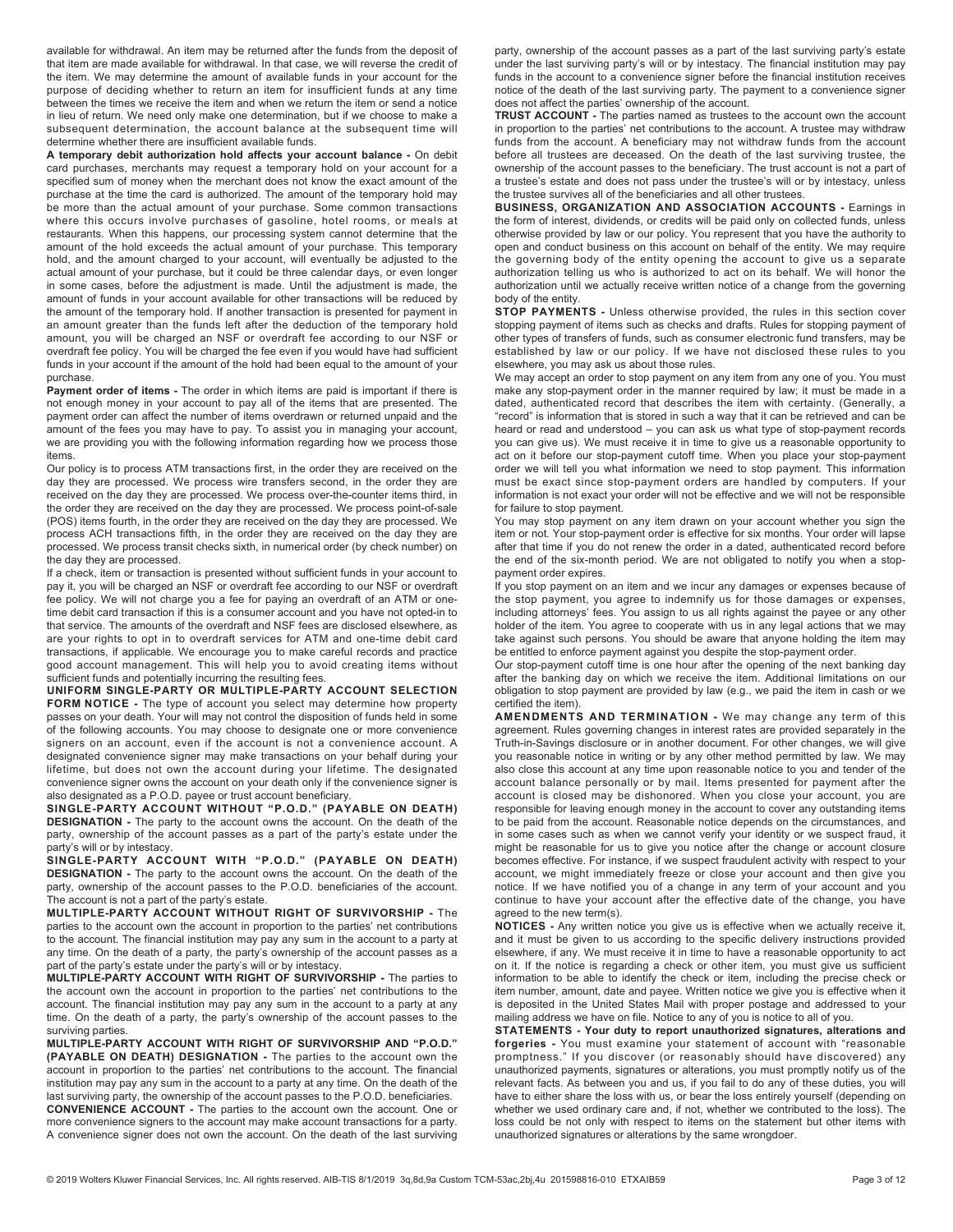available for withdrawal. An item may be returned after the funds from the deposit of that item are made available for withdrawal. In that case, we will reverse the credit of the item. We may determine the amount of available funds in your account for the purpose of deciding whether to return an item for insufficient funds at any time between the times we receive the item and when we return the item or send a notice in lieu of return. We need only make one determination, but if we choose to make a subsequent determination, the account balance at the subsequent time will determine whether there are insufficient available funds.

A temporary debit authorization hold affects your account balance - On debit card purchases, merchants may request a temporary hold on your account for a specified sum of money when the merchant does not know the exact amount of the purchase at the time the card is authorized. The amount of the temporary hold may be more than the actual amount of your purchase. Some common transactions where this occurs involve purchases of gasoline, hotel rooms, or meals at restaurants. When this happens, our processing system cannot determine that the amount of the hold exceeds the actual amount of your purchase. This temporary hold, and the amount charged to your account, will eventually be adjusted to the actual amount of your purchase, but it could be three calendar days, or even longer in some cases, before the adjustment is made. Until the adjustment is made, the amount of funds in your account available for other transactions will be reduced by the amount of the temporary hold. If another transaction is presented for payment in an amount greater than the funds left after the deduction of the temporary hold amount, you will be charged an NSF or overdraft fee according to our NSF or overdraft fee policy. You will be charged the fee even if you would have had sufficient funds in your account if the amount of the hold had been equal to the amount of your purchase.

Payment order of items - The order in which items are paid is important if there is not enough money in your account to pay all of the items that are presented. The payment order can affect the number of items overdrawn or returned unpaid and the amount of the fees you may have to pay. To assist you in managing your account, we are providing you with the following information regarding how we process those items.

Our policy is to process ATM transactions first, in the order they are received on the day they are processed. We process wire transfers second, in the order they are received on the day they are processed. We process over-the-counter items third, in the order they are received on the day they are processed. We process point-of-sale (POS) items fourth, in the order they are received on the day they are processed. We process ACH transactions fifth, in the order they are received on the day they are processed. We process transit checks sixth, in numerical order (by check number) on the day they are processed.

If a check, item or transaction is presented without sufficient funds in your account to pay it, you will be charged an NSF or overdraft fee according to our NSF or overdraft fee policy. We will not charge you a fee for paying an overdraft of an ATM or onetime debit card transaction if this is a consumer account and you have not opted-in to that service. The amounts of the overdraft and NSF fees are disclosed elsewhere, as are your rights to opt in to overdraft services for ATM and one-time debit card transactions, if applicable. We encourage you to make careful records and practice good account management. This will help you to avoid creating items without sufficient funds and potentially incurring the resulting fees.

UNIFORM SINGLE-PARTY OR MULTIPLE-PARTY ACCOUNT SELECTION FORM NOTICE - The type of account you select may determine how property passes on your death. Your will may not control the disposition of funds held in some of the following accounts. You may choose to designate one or more convenience signers on an account, even if the account is not a convenience account. A designated convenience signer may make transactions on your behalf during your lifetime, but does not own the account during your lifetime. The designated convenience signer owns the account on your death only if the convenience signer is also designated as a P.O.D. payee or trust account beneficiary.

SINGLE-PARTY ACCOUNT WITHOUT "P.O.D." (PAYABLE ON DEATH) DESIGNATION - The party to the account owns the account. On the death of the party, ownership of the account passes as a part of the party's estate under the party's will or by intestacy.

SINGLE-PARTY ACCOUNT WITH "P.O.D." (PAYABLE ON DEATH) DESIGNATION - The party to the account owns the account. On the death of the party, ownership of the account passes to the P.O.D. beneficiaries of the account. The account is not a part of the party's estate.

MULTIPLE-PARTY ACCOUNT WITHOUT RIGHT OF SURVIVORSHIP - The parties to the account own the account in proportion to the parties' net contributions to the account. The financial institution may pay any sum in the account to a party at any time. On the death of a party, the party's ownership of the account passes as a part of the party's estate under the party's will or by intestacy.

MULTIPLE-PARTY ACCOUNT WITH RIGHT OF SURVIVORSHIP - The parties to the account own the account in proportion to the parties' net contributions to the account. The financial institution may pay any sum in the account to a party at any time. On the death of a party, the party's ownership of the account passes to the surviving parties.

MULTIPLE-PARTY ACCOUNT WITH RIGHT OF SURVIVORSHIP AND "P.O.D." (PAYABLE ON DEATH) DESIGNATION - The parties to the account own the account in proportion to the parties' net contributions to the account. The financial institution may pay any sum in the account to a party at any time. On the death of the last surviving party, the ownership of the account passes to the P.O.D. beneficiaries. CONVENIENCE ACCOUNT - The parties to the account own the account. One or more convenience signers to the account may make account transactions for a party. A convenience signer does not own the account. On the death of the last surviving

party, ownership of the account passes as a part of the last surviving party's estate under the last surviving party's will or by intestacy. The financial institution may pay funds in the account to a convenience signer before the financial institution receives notice of the death of the last surviving party. The payment to a convenience signer does not affect the parties' ownership of the account.

TRUST ACCOUNT - The parties named as trustees to the account own the account in proportion to the parties' net contributions to the account. A trustee may withdraw funds from the account. A beneficiary may not withdraw funds from the account before all trustees are deceased. On the death of the last surviving trustee, the ownership of the account passes to the beneficiary. The trust account is not a part of a trustee's estate and does not pass under the trustee's will or by intestacy, unless the trustee survives all of the beneficiaries and all other trustees.

BUSINESS, ORGANIZATION AND ASSOCIATION ACCOUNTS - Earnings in the form of interest, dividends, or credits will be paid only on collected funds, unless otherwise provided by law or our policy. You represent that you have the authority to open and conduct business on this account on behalf of the entity. We may require the governing body of the entity opening the account to give us a separate authorization telling us who is authorized to act on its behalf. We will honor the authorization until we actually receive written notice of a change from the governing body of the entity.

STOP PAYMENTS - Unless otherwise provided, the rules in this section cover stopping payment of items such as checks and drafts. Rules for stopping payment of other types of transfers of funds, such as consumer electronic fund transfers, may be established by law or our policy. If we have not disclosed these rules to you elsewhere, you may ask us about those rules.

We may accept an order to stop payment on any item from any one of you. You must make any stop-payment order in the manner required by law; it must be made in a dated, authenticated record that describes the item with certainty. (Generally, a "record" is information that is stored in such a way that it can be retrieved and can be heard or read and understood – you can ask us what type of stop-payment records you can give us). We must receive it in time to give us a reasonable opportunity to act on it before our stop-payment cutoff time. When you place your stop-payment order we will tell you what information we need to stop payment. This information must be exact since stop-payment orders are handled by computers. If your information is not exact your order will not be effective and we will not be responsible for failure to stop payment.

You may stop payment on any item drawn on your account whether you sign the item or not. Your stop-payment order is effective for six months. Your order will lapse after that time if you do not renew the order in a dated, authenticated record before the end of the six-month period. We are not obligated to notify you when a stoppayment order expires.

If you stop payment on an item and we incur any damages or expenses because of the stop payment, you agree to indemnify us for those damages or expenses, including attorneys' fees. You assign to us all rights against the payee or any other holder of the item. You agree to cooperate with us in any legal actions that we may take against such persons. You should be aware that anyone holding the item may be entitled to enforce payment against you despite the stop-payment order.

Our stop-payment cutoff time is one hour after the opening of the next banking day after the banking day on which we receive the item. Additional limitations on our obligation to stop payment are provided by law (e.g., we paid the item in cash or we certified the item).

AMENDMENTS AND TERMINATION - We may change any term of this agreement. Rules governing changes in interest rates are provided separately in the Truth-in-Savings disclosure or in another document. For other changes, we will give you reasonable notice in writing or by any other method permitted by law. We may also close this account at any time upon reasonable notice to you and tender of the account balance personally or by mail. Items presented for payment after the account is closed may be dishonored. When you close your account, you are responsible for leaving enough money in the account to cover any outstanding items to be paid from the account. Reasonable notice depends on the circumstances, and in some cases such as when we cannot verify your identity or we suspect fraud, it might be reasonable for us to give you notice after the change or account closure becomes effective. For instance, if we suspect fraudulent activity with respect to your account, we might immediately freeze or close your account and then give you notice. If we have notified you of a change in any term of your account and you continue to have your account after the effective date of the change, you have agreed to the new term(s).

NOTICES - Any written notice you give us is effective when we actually receive it, and it must be given to us according to the specific delivery instructions provided elsewhere, if any. We must receive it in time to have a reasonable opportunity to act on it. If the notice is regarding a check or other item, you must give us sufficient information to be able to identify the check or item, including the precise check or item number, amount, date and payee. Written notice we give you is effective when it is deposited in the United States Mail with proper postage and addressed to your mailing address we have on file. Notice to any of you is notice to all of you.

STATEMENTS - Your duty to report unauthorized signatures, alterations and forgeries - You must examine your statement of account with "reasonable promptness." If you discover (or reasonably should have discovered) any unauthorized payments, signatures or alterations, you must promptly notify us of the relevant facts. As between you and us, if you fail to do any of these duties, you will have to either share the loss with us, or bear the loss entirely yourself (depending on whether we used ordinary care and, if not, whether we contributed to the loss). The loss could be not only with respect to items on the statement but other items with unauthorized signatures or alterations by the same wrongdoer.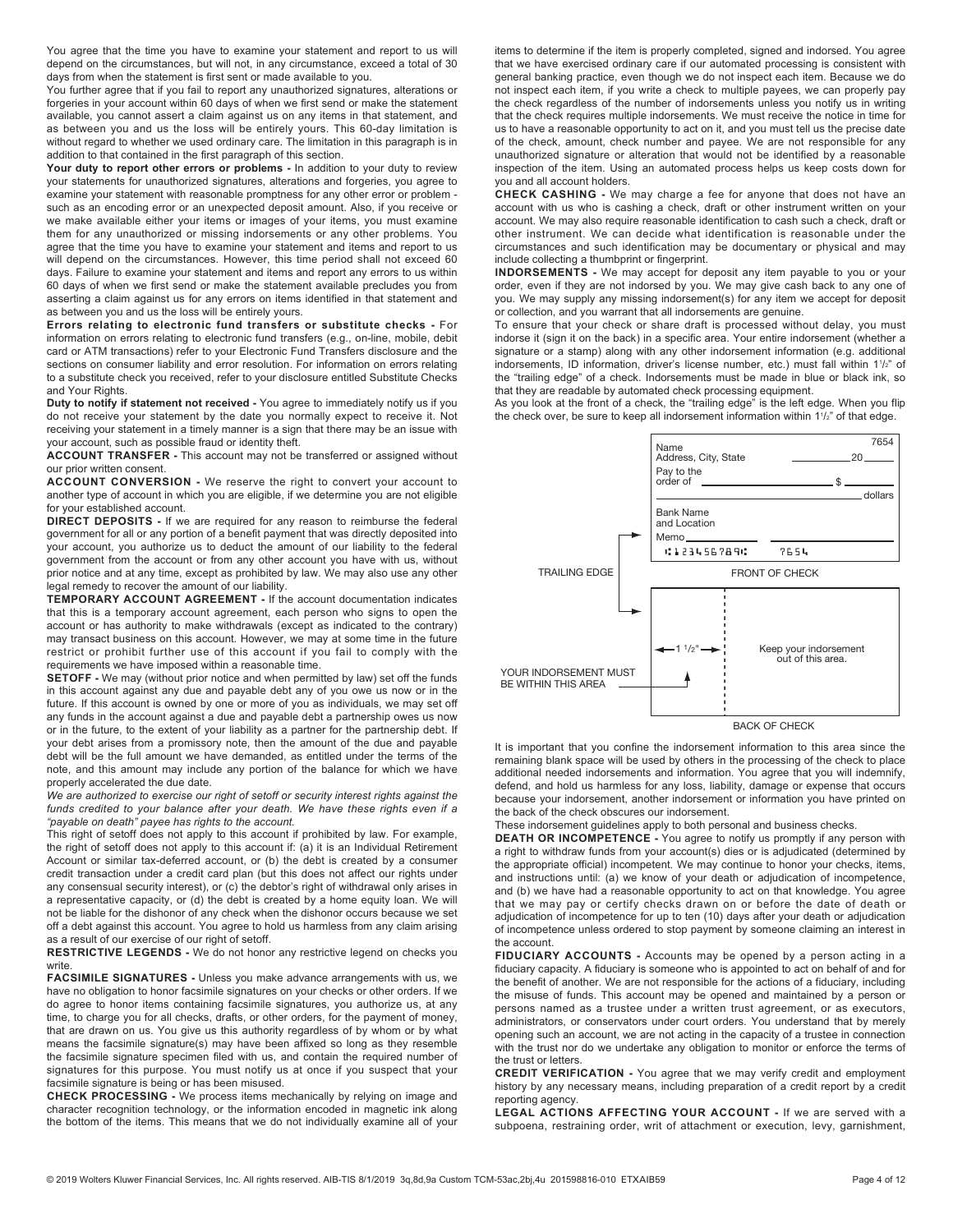You agree that the time you have to examine your statement and report to us will depend on the circumstances, but will not, in any circumstance, exceed a total of 30 days from when the statement is first sent or made available to you.

You further agree that if you fail to report any unauthorized signatures, alterations or forgeries in your account within 60 days of when we first send or make the statement available, you cannot assert a claim against us on any items in that statement, and as between you and us the loss will be entirely yours. This 60-day limitation is without regard to whether we used ordinary care. The limitation in this paragraph is in addition to that contained in the first paragraph of this section.

Your duty to report other errors or problems - In addition to your duty to review your statements for unauthorized signatures, alterations and forgeries, you agree to examine your statement with reasonable promptness for any other error or problem such as an encoding error or an unexpected deposit amount. Also, if you receive or we make available either your items or images of your items, you must examine them for any unauthorized or missing indorsements or any other problems. You agree that the time you have to examine your statement and items and report to us will depend on the circumstances. However, this time period shall not exceed 60 days. Failure to examine your statement and items and report any errors to us within 60 days of when we first send or make the statement available precludes you from asserting a claim against us for any errors on items identified in that statement and as between you and us the loss will be entirely yours.

Errors relating to electronic fund transfers or substitute checks - For information on errors relating to electronic fund transfers (e.g., on-line, mobile, debit card or ATM transactions) refer to your Electronic Fund Transfers disclosure and the sections on consumer liability and error resolution. For information on errors relating to a substitute check you received, refer to your disclosure entitled Substitute Checks and Your Rights.

Duty to notify if statement not received - You agree to immediately notify us if you do not receive your statement by the date you normally expect to receive it. Not receiving your statement in a timely manner is a sign that there may be an issue with your account, such as possible fraud or identity theft.

ACCOUNT TRANSFER - This account may not be transferred or assigned without our prior written consent.

ACCOUNT CONVERSION - We reserve the right to convert your account to another type of account in which you are eligible, if we determine you are not eligible for your established account.

DIRECT DEPOSITS - If we are required for any reason to reimburse the federal government for all or any portion of a benefit payment that was directly deposited into your account, you authorize us to deduct the amount of our liability to the federal government from the account or from any other account you have with us, without prior notice and at any time, except as prohibited by law. We may also use any other legal remedy to recover the amount of our liability.

TEMPORARY ACCOUNT AGREEMENT - If the account documentation indicates that this is a temporary account agreement, each person who signs to open the account or has authority to make withdrawals (except as indicated to the contrary) may transact business on this account. However, we may at some time in the future restrict or prohibit further use of this account if you fail to comply with the requirements we have imposed within a reasonable time.

SETOFF - We may (without prior notice and when permitted by law) set off the funds in this account against any due and payable debt any of you owe us now or in the future. If this account is owned by one or more of you as individuals, we may set off any funds in the account against a due and payable debt a partnership owes us now or in the future, to the extent of your liability as a partner for the partnership debt. If your debt arises from a promissory note, then the amount of the due and payable debt will be the full amount we have demanded, as entitled under the terms of the note, and this amount may include any portion of the balance for which we have properly accelerated the due date.

We are authorized to exercise our right of setoff or security interest rights against the funds credited to your balance after your death. We have these rights even if a "payable on death" payee has rights to the account.

This right of setoff does not apply to this account if prohibited by law. For example, the right of setoff does not apply to this account if: (a) it is an Individual Retirement Account or similar tax-deferred account, or (b) the debt is created by a consumer credit transaction under a credit card plan (but this does not affect our rights under any consensual security interest), or (c) the debtor's right of withdrawal only arises in a representative capacity, or (d) the debt is created by a home equity loan. We will not be liable for the dishonor of any check when the dishonor occurs because we set off a debt against this account. You agree to hold us harmless from any claim arising as a result of our exercise of our right of setoff.

RESTRICTIVE LEGENDS - We do not honor any restrictive legend on checks you write

FACSIMILE SIGNATURES - Unless you make advance arrangements with us, we have no obligation to honor facsimile signatures on your checks or other orders. If we do agree to honor items containing facsimile signatures, you authorize us, at any time, to charge you for all checks, drafts, or other orders, for the payment of money, that are drawn on us. You give us this authority regardless of by whom or by what means the facsimile signature(s) may have been affixed so long as they resemble the facsimile signature specimen filed with us, and contain the required number of signatures for this purpose. You must notify us at once if you suspect that your facsimile signature is being or has been misused.

CHECK PROCESSING - We process items mechanically by relying on image and character recognition technology, or the information encoded in magnetic ink along the bottom of the items. This means that we do not individually examine all of your

items to determine if the item is properly completed, signed and indorsed. You agree that we have exercised ordinary care if our automated processing is consistent with general banking practice, even though we do not inspect each item. Because we do not inspect each item, if you write a check to multiple payees, we can properly pay the check regardless of the number of indorsements unless you notify us in writing that the check requires multiple indorsements. We must receive the notice in time for us to have a reasonable opportunity to act on it, and you must tell us the precise date of the check, amount, check number and payee. We are not responsible for any unauthorized signature or alteration that would not be identified by a reasonable inspection of the item. Using an automated process helps us keep costs down for you and all account holders.

CHECK CASHING - We may charge a fee for anyone that does not have an account with us who is cashing a check, draft or other instrument written on your account. We may also require reasonable identification to cash such a check, draft or other instrument. We can decide what identification is reasonable under the circumstances and such identification may be documentary or physical and may include collecting a thumbprint or fingerprint.

INDORSEMENTS - We may accept for deposit any item payable to you or your order, even if they are not indorsed by you. We may give cash back to any one of you. We may supply any missing indorsement(s) for any item we accept for deposit or collection, and you warrant that all indorsements are genuine.

To ensure that your check or share draft is processed without delay, you must indorse it (sign it on the back) in a specific area. Your entire indorsement (whether a signature or a stamp) along with any other indorsement information (e.g. additional indorsements, ID information, driver's license number, etc.) must fall within 1<sup>1</sup>/<sub>2</sub>" of the "trailing edge" of a check. Indorsements must be made in blue or black ink, so that they are readable by automated check processing equipment.

As you look at the front of a check, the "trailing edge" is the left edge. When you flip the check over, be sure to keep all indorsement information within  $1^{1/2}$ " of that edge.



It is important that you confine the indorsement information to this area since the remaining blank space will be used by others in the processing of the check to place additional needed indorsements and information. You agree that you will indemnify, defend, and hold us harmless for any loss, liability, damage or expense that occurs because your indorsement, another indorsement or information you have printed on the back of the check obscures our indorsement.

These indorsement guidelines apply to both personal and business checks.

DEATH OR INCOMPETENCE - You agree to notify us promptly if any person with a right to withdraw funds from your account(s) dies or is adjudicated (determined by the appropriate official) incompetent. We may continue to honor your checks, items, and instructions until: (a) we know of your death or adjudication of incompetence, and (b) we have had a reasonable opportunity to act on that knowledge. You agree that we may pay or certify checks drawn on or before the date of death or adjudication of incompetence for up to ten (10) days after your death or adjudication of incompetence unless ordered to stop payment by someone claiming an interest in the account.

FIDUCIARY ACCOUNTS - Accounts may be opened by a person acting in a fiduciary capacity. A fiduciary is someone who is appointed to act on behalf of and for the benefit of another. We are not responsible for the actions of a fiduciary, including the misuse of funds. This account may be opened and maintained by a person or persons named as a trustee under a written trust agreement, or as executors, administrators, or conservators under court orders. You understand that by merely opening such an account, we are not acting in the capacity of a trustee in connection with the trust nor do we undertake any obligation to monitor or enforce the terms of the trust or letters.

CREDIT VERIFICATION - You agree that we may verify credit and employment history by any necessary means, including preparation of a credit report by a credit reporting agency.

LEGAL ACTIONS AFFECTING YOUR ACCOUNT - If we are served with a subpoena, restraining order, writ of attachment or execution, levy, garnishment,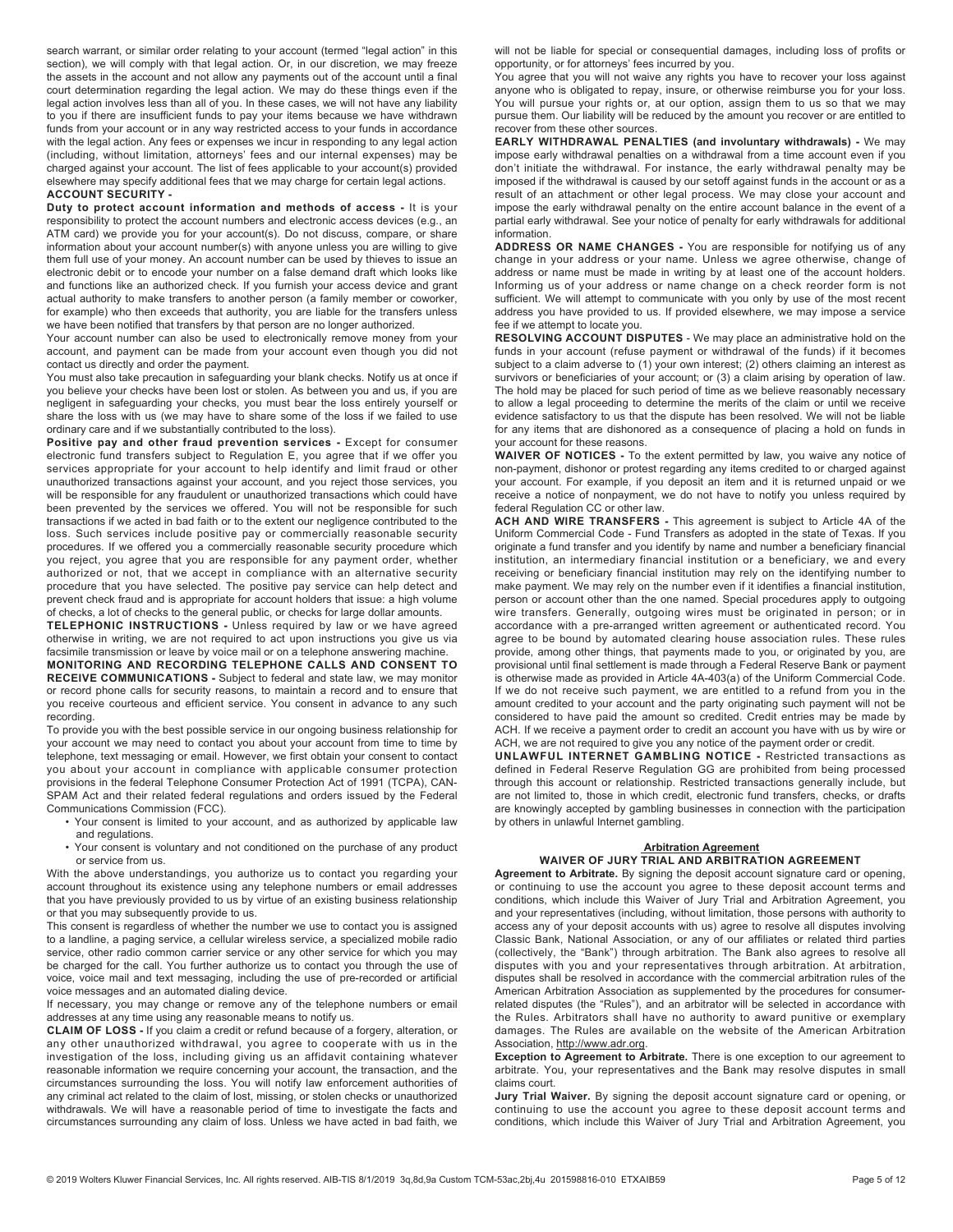search warrant, or similar order relating to your account (termed "legal action" in this section), we will comply with that legal action. Or, in our discretion, we may freeze the assets in the account and not allow any payments out of the account until a final court determination regarding the legal action. We may do these things even if the legal action involves less than all of you. In these cases, we will not have any liability to you if there are insufficient funds to pay your items because we have withdrawn funds from your account or in any way restricted access to your funds in accordance with the legal action. Any fees or expenses we incur in responding to any legal action (including, without limitation, attorneys' fees and our internal expenses) may be charged against your account. The list of fees applicable to your account(s) provided elsewhere may specify additional fees that we may charge for certain legal actions. ACCOUNT SECURITY -

Duty to protect account information and methods of access - It is your responsibility to protect the account numbers and electronic access devices (e.g., an ATM card) we provide you for your account(s). Do not discuss, compare, or share information about your account number(s) with anyone unless you are willing to give them full use of your money. An account number can be used by thieves to issue an electronic debit or to encode your number on a false demand draft which looks like and functions like an authorized check. If you furnish your access device and grant actual authority to make transfers to another person (a family member or coworker, for example) who then exceeds that authority, you are liable for the transfers unless we have been notified that transfers by that person are no longer authorized.

Your account number can also be used to electronically remove money from your account, and payment can be made from your account even though you did not contact us directly and order the payment.

You must also take precaution in safeguarding your blank checks. Notify us at once if you believe your checks have been lost or stolen. As between you and us, if you are negligent in safeguarding your checks, you must bear the loss entirely yourself or share the loss with us (we may have to share some of the loss if we failed to use ordinary care and if we substantially contributed to the loss).

Positive pay and other fraud prevention services - Except for consumer electronic fund transfers subject to Regulation E, you agree that if we offer you services appropriate for your account to help identify and limit fraud or other unauthorized transactions against your account, and you reject those services, you will be responsible for any fraudulent or unauthorized transactions which could have been prevented by the services we offered. You will not be responsible for such transactions if we acted in bad faith or to the extent our negligence contributed to the loss. Such services include positive pay or commercially reasonable security procedures. If we offered you a commercially reasonable security procedure which you reject, you agree that you are responsible for any payment order, whether authorized or not, that we accept in compliance with an alternative security procedure that you have selected. The positive pay service can help detect and prevent check fraud and is appropriate for account holders that issue: a high volume of checks, a lot of checks to the general public, or checks for large dollar amounts.

TELEPHONIC INSTRUCTIONS - Unless required by law or we have agreed otherwise in writing, we are not required to act upon instructions you give us via facsimile transmission or leave by voice mail or on a telephone answering machine. MONITORING AND RECORDING TELEPHONE CALLS AND CONSENT TO

RECEIVE COMMUNICATIONS - Subject to federal and state law, we may monitor or record phone calls for security reasons, to maintain a record and to ensure that you receive courteous and efficient service. You consent in advance to any such recording.

To provide you with the best possible service in our ongoing business relationship for your account we may need to contact you about your account from time to time by telephone, text messaging or email. However, we first obtain your consent to contact you about your account in compliance with applicable consumer protection provisions in the federal Telephone Consumer Protection Act of 1991 (TCPA), CAN-SPAM Act and their related federal regulations and orders issued by the Federal Communications Commission (FCC).

- Your consent is limited to your account, and as authorized by applicable law and regulations.
- Your consent is voluntary and not conditioned on the purchase of any product or service from us.

With the above understandings, you authorize us to contact you regarding your account throughout its existence using any telephone numbers or email addresses that you have previously provided to us by virtue of an existing business relationship or that you may subsequently provide to us.

This consent is regardless of whether the number we use to contact you is assigned to a landline, a paging service, a cellular wireless service, a specialized mobile radio service, other radio common carrier service or any other service for which you may be charged for the call. You further authorize us to contact you through the use of voice, voice mail and text messaging, including the use of pre-recorded or artificial voice messages and an automated dialing device.

If necessary, you may change or remove any of the telephone numbers or email addresses at any time using any reasonable means to notify us.

CLAIM OF LOSS - If you claim a credit or refund because of a forgery, alteration, or any other unauthorized withdrawal, you agree to cooperate with us in the investigation of the loss, including giving us an affidavit containing whatever reasonable information we require concerning your account, the transaction, and the circumstances surrounding the loss. You will notify law enforcement authorities of any criminal act related to the claim of lost, missing, or stolen checks or unauthorized withdrawals. We will have a reasonable period of time to investigate the facts and circumstances surrounding any claim of loss. Unless we have acted in bad faith, we

will not be liable for special or consequential damages, including loss of profits or opportunity, or for attorneys' fees incurred by you.

You agree that you will not waive any rights you have to recover your loss against anyone who is obligated to repay, insure, or otherwise reimburse you for your loss. You will pursue your rights or, at our option, assign them to us so that we may pursue them. Our liability will be reduced by the amount you recover or are entitled to recover from these other sources.

EARLY WITHDRAWAL PENALTIES (and involuntary withdrawals) - We may impose early withdrawal penalties on a withdrawal from a time account even if you don't initiate the withdrawal. For instance, the early withdrawal penalty may be imposed if the withdrawal is caused by our setoff against funds in the account or as a result of an attachment or other legal process. We may close your account and impose the early withdrawal penalty on the entire account balance in the event of a partial early withdrawal. See your notice of penalty for early withdrawals for additional information.

ADDRESS OR NAME CHANGES - You are responsible for notifying us of any change in your address or your name. Unless we agree otherwise, change of address or name must be made in writing by at least one of the account holders. Informing us of your address or name change on a check reorder form is not sufficient. We will attempt to communicate with you only by use of the most recent address you have provided to us. If provided elsewhere, we may impose a service fee if we attempt to locate you.

RESOLVING ACCOUNT DISPUTES - We may place an administrative hold on the funds in your account (refuse payment or withdrawal of the funds) if it becomes subject to a claim adverse to (1) your own interest; (2) others claiming an interest as survivors or beneficiaries of your account; or (3) a claim arising by operation of law. The hold may be placed for such period of time as we believe reasonably necessary to allow a legal proceeding to determine the merits of the claim or until we receive evidence satisfactory to us that the dispute has been resolved. We will not be liable for any items that are dishonored as a consequence of placing a hold on funds in your account for these reasons.

WAIVER OF NOTICES - To the extent permitted by law, you waive any notice of non-payment, dishonor or protest regarding any items credited to or charged against your account. For example, if you deposit an item and it is returned unpaid or we receive a notice of nonpayment, we do not have to notify you unless required by federal Regulation CC or other law.

ACH AND WIRE TRANSFERS - This agreement is subject to Article 4A of the Uniform Commercial Code - Fund Transfers as adopted in the state of Texas. If you originate a fund transfer and you identify by name and number a beneficiary financial institution, an intermediary financial institution or a beneficiary, we and every receiving or beneficiary financial institution may rely on the identifying number to make payment. We may rely on the number even if it identifies a financial institution, person or account other than the one named. Special procedures apply to outgoing wire transfers. Generally, outgoing wires must be originated in person; or in accordance with a pre-arranged written agreement or authenticated record. You agree to be bound by automated clearing house association rules. These rules provide, among other things, that payments made to you, or originated by you, are provisional until final settlement is made through a Federal Reserve Bank or payment is otherwise made as provided in Article 4A-403(a) of the Uniform Commercial Code. If we do not receive such payment, we are entitled to a refund from you in the amount credited to your account and the party originating such payment will not be considered to have paid the amount so credited. Credit entries may be made by ACH. If we receive a payment order to credit an account you have with us by wire or ACH, we are not required to give you any notice of the payment order or credit.

UNLAWFUL INTERNET GAMBLING NOTICE - Restricted transactions as defined in Federal Reserve Regulation GG are prohibited from being processed through this account or relationship. Restricted transactions generally include, but are not limited to, those in which credit, electronic fund transfers, checks, or drafts are knowingly accepted by gambling businesses in connection with the participation by others in unlawful Internet gambling.

#### Arbitration Agreement WAIVER OF JURY TRIAL AND ARBITRATION AGREEMENT

Agreement to Arbitrate. By signing the deposit account signature card or opening, or continuing to use the account you agree to these deposit account terms and conditions, which include this Waiver of Jury Trial and Arbitration Agreement, you and your representatives (including, without limitation, those persons with authority to access any of your deposit accounts with us) agree to resolve all disputes involving Classic Bank, National Association, or any of our affiliates or related third parties (collectively, the "Bank") through arbitration. The Bank also agrees to resolve all disputes with you and your representatives through arbitration. At arbitration, disputes shall be resolved in accordance with the commercial arbitration rules of the American Arbitration Association as supplemented by the procedures for consumerrelated disputes (the "Rules"), and an arbitrator will be selected in accordance with the Rules. Arbitrators shall have no authority to award punitive or exemplary damages. The Rules are available on the website of the American Arbitration Association, http://www.adr.org.

Exception to Agreement to Arbitrate. There is one exception to our agreement to arbitrate. You, your representatives and the Bank may resolve disputes in small claims court.

Jury Trial Waiver. By signing the deposit account signature card or opening, or continuing to use the account you agree to these deposit account terms and conditions, which include this Waiver of Jury Trial and Arbitration Agreement, you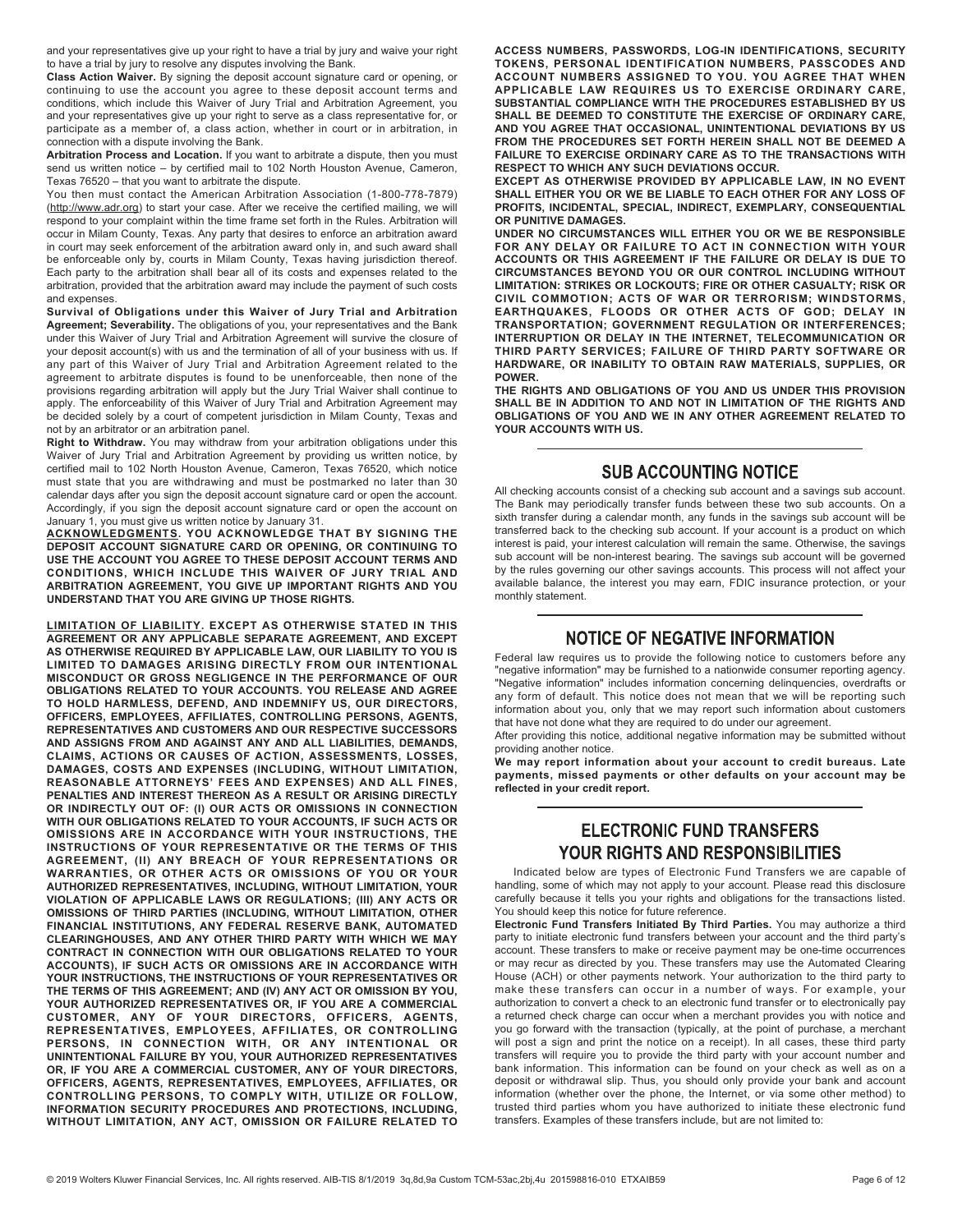and your representatives give up your right to have a trial by jury and waive your right to have a trial by jury to resolve any disputes involving the Bank.

Class Action Waiver. By signing the deposit account signature card or opening, or continuing to use the account you agree to these deposit account terms and conditions, which include this Waiver of Jury Trial and Arbitration Agreement, you and your representatives give up your right to serve as a class representative for, or participate as a member of, a class action, whether in court or in arbitration, in connection with a dispute involving the Bank.

Arbitration Process and Location. If you want to arbitrate a dispute, then you must send us written notice – by certified mail to 102 North Houston Avenue, Cameron, Texas 76520 – that you want to arbitrate the dispute.

You then must contact the American Arbitration Association (1-800-778-7879) (http://www.adr.org) to start your case. After we receive the certified mailing, we will respond to your complaint within the time frame set forth in the Rules. Arbitration will occur in Milam County, Texas. Any party that desires to enforce an arbitration award in court may seek enforcement of the arbitration award only in, and such award shall be enforceable only by, courts in Milam County, Texas having jurisdiction thereof. Each party to the arbitration shall bear all of its costs and expenses related to the arbitration, provided that the arbitration award may include the payment of such costs and expenses.

Survival of Obligations under this Waiver of Jury Trial and Arbitration Agreement; Severability. The obligations of you, your representatives and the Bank under this Waiver of Jury Trial and Arbitration Agreement will survive the closure of your deposit account(s) with us and the termination of all of your business with us. If any part of this Waiver of Jury Trial and Arbitration Agreement related to the agreement to arbitrate disputes is found to be unenforceable, then none of the provisions regarding arbitration will apply but the Jury Trial Waiver shall continue to apply. The enforceability of this Waiver of Jury Trial and Arbitration Agreement may be decided solely by a court of competent jurisdiction in Milam County, Texas and not by an arbitrator or an arbitration panel.

Right to Withdraw. You may withdraw from your arbitration obligations under this Waiver of Jury Trial and Arbitration Agreement by providing us written notice, by certified mail to 102 North Houston Avenue, Cameron, Texas 76520, which notice must state that you are withdrawing and must be postmarked no later than 30 calendar days after you sign the deposit account signature card or open the account. Accordingly, if you sign the deposit account signature card or open the account on January 1, you must give us written notice by January 31.

ACKNOWLEDGMENTS. YOU ACKNOWLEDGE THAT BY SIGNING THE DEPOSIT ACCOUNT SIGNATURE CARD OR OPENING, OR CONTINUING TO USE THE ACCOUNT YOU AGREE TO THESE DEPOSIT ACCOUNT TERMS AND CONDITIONS, WHICH INCLUDE THIS WAIVER OF JURY TRIAL AND ARBITRATION AGREEMENT, YOU GIVE UP IMPORTANT RIGHTS AND YOU UNDERSTAND THAT YOU ARE GIVING UP THOSE RIGHTS.

LIMITATION OF LIABILITY. EXCEPT AS OTHERWISE STATED IN THIS AGREEMENT OR ANY APPLICABLE SEPARATE AGREEMENT, AND EXCEPT AS OTHERWISE REQUIRED BY APPLICABLE LAW, OUR LIABILITY TO YOU IS LIMITED TO DAMAGES ARISING DIRECTLY FROM OUR INTENTIONAL MISCONDUCT OR GROSS NEGLIGENCE IN THE PERFORMANCE OF OUR OBLIGATIONS RELATED TO YOUR ACCOUNTS. YOU RELEASE AND AGREE TO HOLD HARMLESS, DEFEND, AND INDEMNIFY US, OUR DIRECTORS, OFFICERS, EMPLOYEES, AFFILIATES, CONTROLLING PERSONS, AGENTS, REPRESENTATIVES AND CUSTOMERS AND OUR RESPECTIVE SUCCESSORS AND ASSIGNS FROM AND AGAINST ANY AND ALL LIABILITIES, DEMANDS, CLAIMS, ACTIONS OR CAUSES OF ACTION, ASSESSMENTS, LOSSES, DAMAGES, COSTS AND EXPENSES (INCLUDING, WITHOUT LIMITATION, REASONABLE ATTORNEYS' FEES AND EXPENSES) AND ALL FINES, PENALTIES AND INTEREST THEREON AS A RESULT OR ARISING DIRECTLY OR INDIRECTLY OUT OF: (I) OUR ACTS OR OMISSIONS IN CONNECTION WITH OUR OBLIGATIONS RELATED TO YOUR ACCOUNTS, IF SUCH ACTS OR OMISSIONS ARE IN ACCORDANCE WITH YOUR INSTRUCTIONS, THE INSTRUCTIONS OF YOUR REPRESENTATIVE OR THE TERMS OF THIS AGREEMENT, (II) ANY BREACH OF YOUR REPRESENTATIONS OR WARRANTIES, OR OTHER ACTS OR OMISSIONS OF YOU OR YOUR AUTHORIZED REPRESENTATIVES, INCLUDING, WITHOUT LIMITATION, YOUR VIOLATION OF APPLICABLE LAWS OR REGULATIONS; (III) ANY ACTS OR OMISSIONS OF THIRD PARTIES (INCLUDING, WITHOUT LIMITATION, OTHER FINANCIAL INSTITUTIONS, ANY FEDERAL RESERVE BANK, AUTOMATED CLEARINGHOUSES, AND ANY OTHER THIRD PARTY WITH WHICH WE MAY CONTRACT IN CONNECTION WITH OUR OBLIGATIONS RELATED TO YOUR ACCOUNTS), IF SUCH ACTS OR OMISSIONS ARE IN ACCORDANCE WITH YOUR INSTRUCTIONS, THE INSTRUCTIONS OF YOUR REPRESENTATIVES OR THE TERMS OF THIS AGREEMENT; AND (IV) ANY ACT OR OMISSION BY YOU, YOUR AUTHORIZED REPRESENTATIVES OR, IF YOU ARE A COMMERCIAL CUSTOMER, ANY OF YOUR DIRECTORS, OFFICERS, AGENTS, REPRESENTATIVES, EMPLOYEES, AFFILIATES, OR CONTROLLING PERSONS, IN CONNECTION WITH, OR ANY INTENTIONAL OR UNINTENTIONAL FAILURE BY YOU, YOUR AUTHORIZED REPRESENTATIVES OR, IF YOU ARE A COMMERCIAL CUSTOMER, ANY OF YOUR DIRECTORS, OFFICERS, AGENTS, REPRESENTATIVES, EMPLOYEES, AFFILIATES, OR CONTROLLING PERSONS, TO COMPLY WITH, UTILIZE OR FOLLOW, INFORMATION SECURITY PROCEDURES AND PROTECTIONS, INCLUDING, WITHOUT LIMITATION, ANY ACT, OMISSION OR FAILURE RELATED TO

ACCESS NUMBERS, PASSWORDS, LOG-IN IDENTIFICATIONS, SECURITY TOKENS, PERSONAL IDENTIFICATION NUMBERS, PASSCODES AND ACCOUNT NUMBERS ASSIGNED TO YOU. YOU AGREE THAT WHEN APPLICABLE LAW REQUIRES US TO EXERCISE ORDINARY CARE, SUBSTANTIAL COMPLIANCE WITH THE PROCEDURES ESTABLISHED BY US SHALL BE DEEMED TO CONSTITUTE THE EXERCISE OF ORDINARY CARE, AND YOU AGREE THAT OCCASIONAL, UNINTENTIONAL DEVIATIONS BY US FROM THE PROCEDURES SET FORTH HEREIN SHALL NOT BE DEEMED A FAILURE TO EXERCISE ORDINARY CARE AS TO THE TRANSACTIONS WITH RESPECT TO WHICH ANY SUCH DEVIATIONS OCCUR.

EXCEPT AS OTHERWISE PROVIDED BY APPLICABLE LAW, IN NO EVENT SHALL EITHER YOU OR WE BE LIABLE TO EACH OTHER FOR ANY LOSS OF PROFITS, INCIDENTAL, SPECIAL, INDIRECT, EXEMPLARY, CONSEQUENTIAL OR PUNITIVE DAMAGES.

UNDER NO CIRCUMSTANCES WILL EITHER YOU OR WE BE RESPONSIBLE FOR ANY DELAY OR FAILURE TO ACT IN CONNECTION WITH YOUR ACCOUNTS OR THIS AGREEMENT IF THE FAILURE OR DELAY IS DUE TO CIRCUMSTANCES BEYOND YOU OR OUR CONTROL INCLUDING WITHOUT LIMITATION: STRIKES OR LOCKOUTS; FIRE OR OTHER CASUALTY; RISK OR CIVIL COMMOTION; ACTS OF WAR OR TERRORISM; WINDSTORMS, EARTHQUAKES, FLOODS OR OTHER ACTS OF GOD; DELAY IN TRANSPORTATION; GOVERNMENT REGULATION OR INTERFERENCES; INTERRUPTION OR DELAY IN THE INTERNET, TELECOMMUNICATION OR THIRD PARTY SERVICES; FAILURE OF THIRD PARTY SOFTWARE OR HARDWARE, OR INABILITY TO OBTAIN RAW MATERIALS, SUPPLIES, OR POWER.

THE RIGHTS AND OBLIGATIONS OF YOU AND US UNDER THIS PROVISION SHALL BE IN ADDITION TO AND NOT IN LIMITATION OF THE RIGHTS AND OBLIGATIONS OF YOU AND WE IN ANY OTHER AGREEMENT RELATED TO YOUR ACCOUNTS WITH US.

# **SUB ACCOUNTING NOTICE**

All checking accounts consist of a checking sub account and a savings sub account. The Bank may periodically transfer funds between these two sub accounts. On a sixth transfer during a calendar month, any funds in the savings sub account will be transferred back to the checking sub account. If your account is a product on which interest is paid, your interest calculation will remain the same. Otherwise, the savings sub account will be non-interest bearing. The savings sub account will be governed by the rules governing our other savings accounts. This process will not affect your available balance, the interest you may earn, FDIC insurance protection, or your monthly statement.

# **NOTICE OF NEGATIVE INFORMATION**

Federal law requires us to provide the following notice to customers before any "negative information" may be furnished to a nationwide consumer reporting agency. "Negative information" includes information concerning delinquencies, overdrafts or any form of default. This notice does not mean that we will be reporting such information about you, only that we may report such information about customers that have not done what they are required to do under our agreement.

After providing this notice, additional negative information may be submitted without providing another notice.

We may report information about your account to credit bureaus. Late payments, missed payments or other defaults on your account may be reflected in your credit report.

# **ELECTRONIC FUND TRANSFERS YOUR RIGHTS AND RESPONSIBILITIES**

Indicated below are types of Electronic Fund Transfers we are capable of handling, some of which may not apply to your account. Please read this disclosure carefully because it tells you your rights and obligations for the transactions listed. You should keep this notice for future reference.

Electronic Fund Transfers Initiated By Third Parties. You may authorize a third party to initiate electronic fund transfers between your account and the third party's account. These transfers to make or receive payment may be one-time occurrences or may recur as directed by you. These transfers may use the Automated Clearing House (ACH) or other payments network. Your authorization to the third party to make these transfers can occur in a number of ways. For example, your authorization to convert a check to an electronic fund transfer or to electronically pay a returned check charge can occur when a merchant provides you with notice and you go forward with the transaction (typically, at the point of purchase, a merchant will post a sign and print the notice on a receipt). In all cases, these third party transfers will require you to provide the third party with your account number and bank information. This information can be found on your check as well as on a deposit or withdrawal slip. Thus, you should only provide your bank and account information (whether over the phone, the Internet, or via some other method) to trusted third parties whom you have authorized to initiate these electronic fund transfers. Examples of these transfers include, but are not limited to: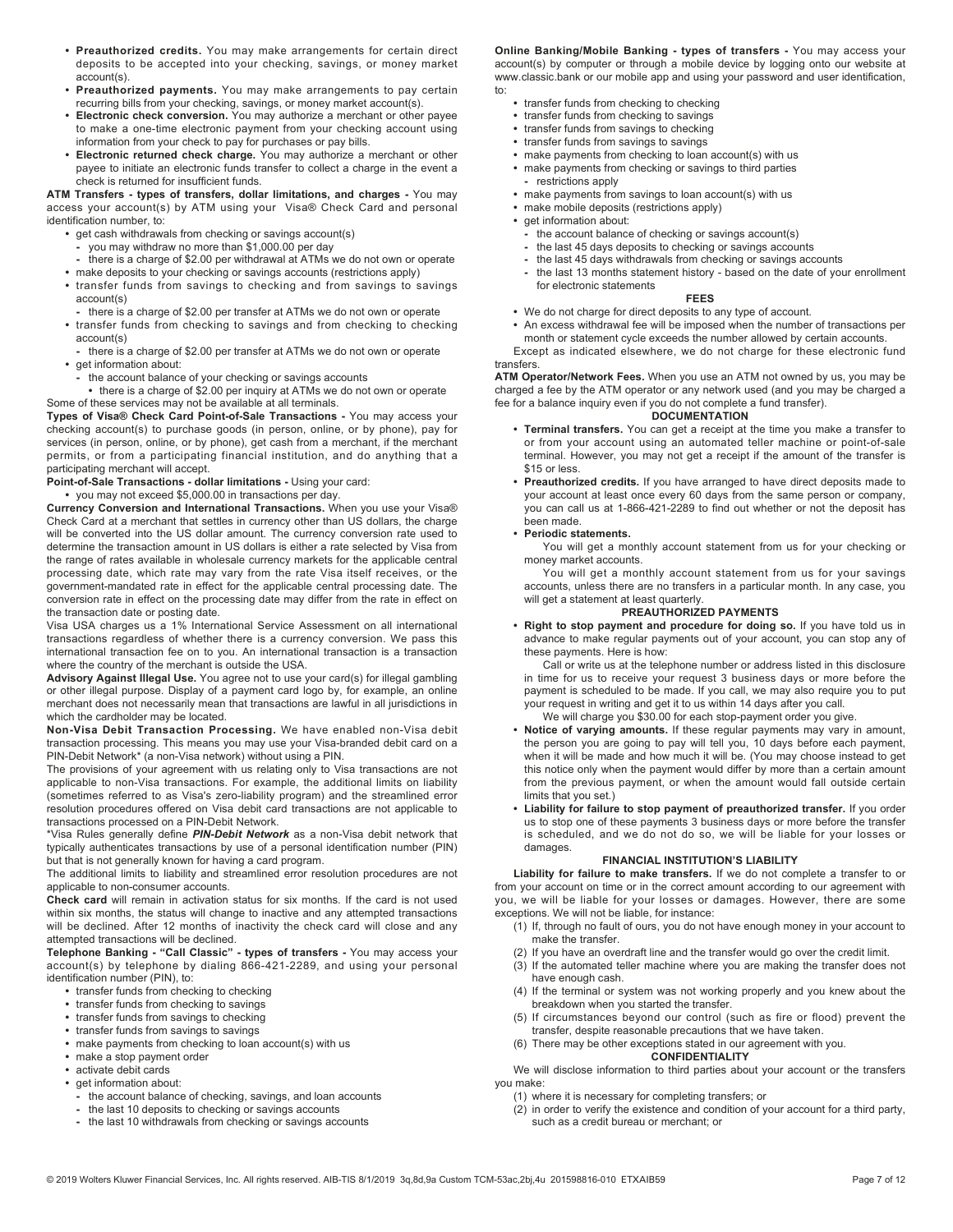- Preauthorized credits. You may make arrangements for certain direct deposits to be accepted into your checking, savings, or money market account(s).
- Preauthorized payments. You may make arrangements to pay certain recurring bills from your checking, savings, or money market account(s).
- Electronic check conversion. You may authorize a merchant or other payee to make a one-time electronic payment from your checking account using information from your check to pay for purchases or pay bills.
- Electronic returned check charge. You may authorize a merchant or other payee to initiate an electronic funds transfer to collect a charge in the event a check is returned for insufficient funds.

ATM Transfers - types of transfers, dollar limitations, and charges - You may access your account(s) by ATM using your Visa® Check Card and personal identification number, to:

- get cash withdrawals from checking or savings account(s)
- you may withdraw no more than \$1,000.00 per day
- there is a charge of \$2.00 per withdrawal at ATMs we do not own or operate
- make deposits to your checking or savings accounts (restrictions apply) • transfer funds from savings to checking and from savings to savings account(s)
- there is a charge of \$2.00 per transfer at ATMs we do not own or operate • transfer funds from checking to savings and from checking to checking
- account(s) - there is a charge of \$2.00 per transfer at ATMs we do not own or operate
- get information about:
	- the account balance of your checking or savings accounts
- there is a charge of \$2.00 per inquiry at ATMs we do not own or operate Some of these services may not be available at all terminals.

Types of Visa® Check Card Point-of-Sale Transactions - You may access your checking account(s) to purchase goods (in person, online, or by phone), pay for services (in person, online, or by phone), get cash from a merchant, if the merchant permits, or from a participating financial institution, and do anything that a participating merchant will accept.

## Point-of-Sale Transactions - dollar limitations - Using your card:

• you may not exceed \$5,000.00 in transactions per day.

Currency Conversion and International Transactions. When you use your Visa® Check Card at a merchant that settles in currency other than US dollars, the charge will be converted into the US dollar amount. The currency conversion rate used to determine the transaction amount in US dollars is either a rate selected by Visa from the range of rates available in wholesale currency markets for the applicable central processing date, which rate may vary from the rate Visa itself receives, or the government-mandated rate in effect for the applicable central processing date. The conversion rate in effect on the processing date may differ from the rate in effect on the transaction date or posting date.

Visa USA charges us a 1% International Service Assessment on all international transactions regardless of whether there is a currency conversion. We pass this international transaction fee on to you. An international transaction is a transaction where the country of the merchant is outside the USA.

Advisory Against Illegal Use. You agree not to use your card(s) for illegal gambling or other illegal purpose. Display of a payment card logo by, for example, an online merchant does not necessarily mean that transactions are lawful in all jurisdictions in which the cardholder may be located.

Non-Visa Debit Transaction Processing. We have enabled non-Visa debit transaction processing. This means you may use your Visa-branded debit card on a PIN-Debit Network\* (a non-Visa network) without using a PIN.

The provisions of your agreement with us relating only to Visa transactions are not applicable to non-Visa transactions. For example, the additional limits on liability (sometimes referred to as Visa's zero-liability program) and the streamlined error resolution procedures offered on Visa debit card transactions are not applicable to transactions processed on a PIN-Debit Network.

\*Visa Rules generally define PIN-Debit Network as a non-Visa debit network that typically authenticates transactions by use of a personal identification number (PIN) but that is not generally known for having a card program.

The additional limits to liability and streamlined error resolution procedures are not applicable to non-consumer accounts.

Check card will remain in activation status for six months. If the card is not used within six months, the status will change to inactive and any attempted transactions will be declined. After 12 months of inactivity the check card will close and any attempted transactions will be declined.

Telephone Banking - "Call Classic" - types of transfers - You may access your account(s) by telephone by dialing 866-421-2289, and using your personal identification number (PIN), to:

- transfer funds from checking to checking
- transfer funds from checking to savings
- transfer funds from savings to checking
- transfer funds from savings to savings
- make payments from checking to loan account(s) with us
- make a stop payment order
- activate debit cards
- get information about:
	- the account balance of checking, savings, and loan accounts
	- the last 10 deposits to checking or savings accounts
	- the last 10 withdrawals from checking or savings accounts

Online Banking/Mobile Banking - types of transfers - You may access your account(s) by computer or through a mobile device by logging onto our website at www.classic.bank or our mobile app and using your password and user identification, to:

- transfer funds from checking to checking
- transfer funds from checking to savings
- transfer funds from savings to checking
- transfer funds from savings to savings
- make payments from checking to loan account(s) with us • make payments from checking or savings to third parties
- restrictions apply
- make payments from savings to loan account(s) with us
- make mobile deposits (restrictions apply)
- get information about:
- the account balance of checking or savings account(s)
- the last 45 days deposits to checking or savings accounts
- the last 45 days withdrawals from checking or savings accounts
- the last 13 months statement history based on the date of your enrollment for electronic statements

#### FEES

• We do not charge for direct deposits to any type of account.

• An excess withdrawal fee will be imposed when the number of transactions per month or statement cycle exceeds the number allowed by certain accounts.

Except as indicated elsewhere, we do not charge for these electronic fund transfers.

ATM Operator/Network Fees. When you use an ATM not owned by us, you may be charged a fee by the ATM operator or any network used (and you may be charged a fee for a balance inquiry even if you do not complete a fund transfer).

#### **DOCUMENTATION**

- Terminal transfers. You can get a receipt at the time you make a transfer to or from your account using an automated teller machine or point-of-sale terminal. However, you may not get a receipt if the amount of the transfer is \$15 or less.
- Preauthorized credits. If you have arranged to have direct deposits made to your account at least once every 60 days from the same person or company, you can call us at 1-866-421-2289 to find out whether or not the deposit has been made.

## • Periodic statements.

You will get a monthly account statement from us for your checking or money market accounts.

You will get a monthly account statement from us for your savings accounts, unless there are no transfers in a particular month. In any case, you will get a statement at least quarterly.

### PREAUTHORIZED PAYMENTS

• Right to stop payment and procedure for doing so. If you have told us in advance to make regular payments out of your account, you can stop any of these payments. Here is how:

Call or write us at the telephone number or address listed in this disclosure in time for us to receive your request 3 business days or more before the payment is scheduled to be made. If you call, we may also require you to put your request in writing and get it to us within 14 days after you call.

We will charge you \$30.00 for each stop-payment order you give.

- Notice of varying amounts. If these regular payments may vary in amount, the person you are going to pay will tell you, 10 days before each payment, when it will be made and how much it will be. (You may choose instead to get this notice only when the payment would differ by more than a certain amount from the previous payment, or when the amount would fall outside certain limits that you set.)
- Liability for failure to stop payment of preauthorized transfer. If you order us to stop one of these payments 3 business days or more before the transfer is scheduled, and we do not do so, we will be liable for your losses or damages.

### FINANCIAL INSTITUTION'S LIABILITY

Liability for failure to make transfers. If we do not complete a transfer to or from your account on time or in the correct amount according to our agreement with you, we will be liable for your losses or damages. However, there are some exceptions. We will not be liable, for instance:

- (1) If, through no fault of ours, you do not have enough money in your account to make the transfer.
- (2) If you have an overdraft line and the transfer would go over the credit limit.
- (3) If the automated teller machine where you are making the transfer does not have enough cash.
- (4) If the terminal or system was not working properly and you knew about the breakdown when you started the transfer.
- (5) If circumstances beyond our control (such as fire or flood) prevent the transfer, despite reasonable precautions that we have taken.
- (6) There may be other exceptions stated in our agreement with you.

# **CONFIDENTIALITY**

We will disclose information to third parties about your account or the transfers you make:

(1) where it is necessary for completing transfers; or

(2) in order to verify the existence and condition of your account for a third party, such as a credit bureau or merchant; or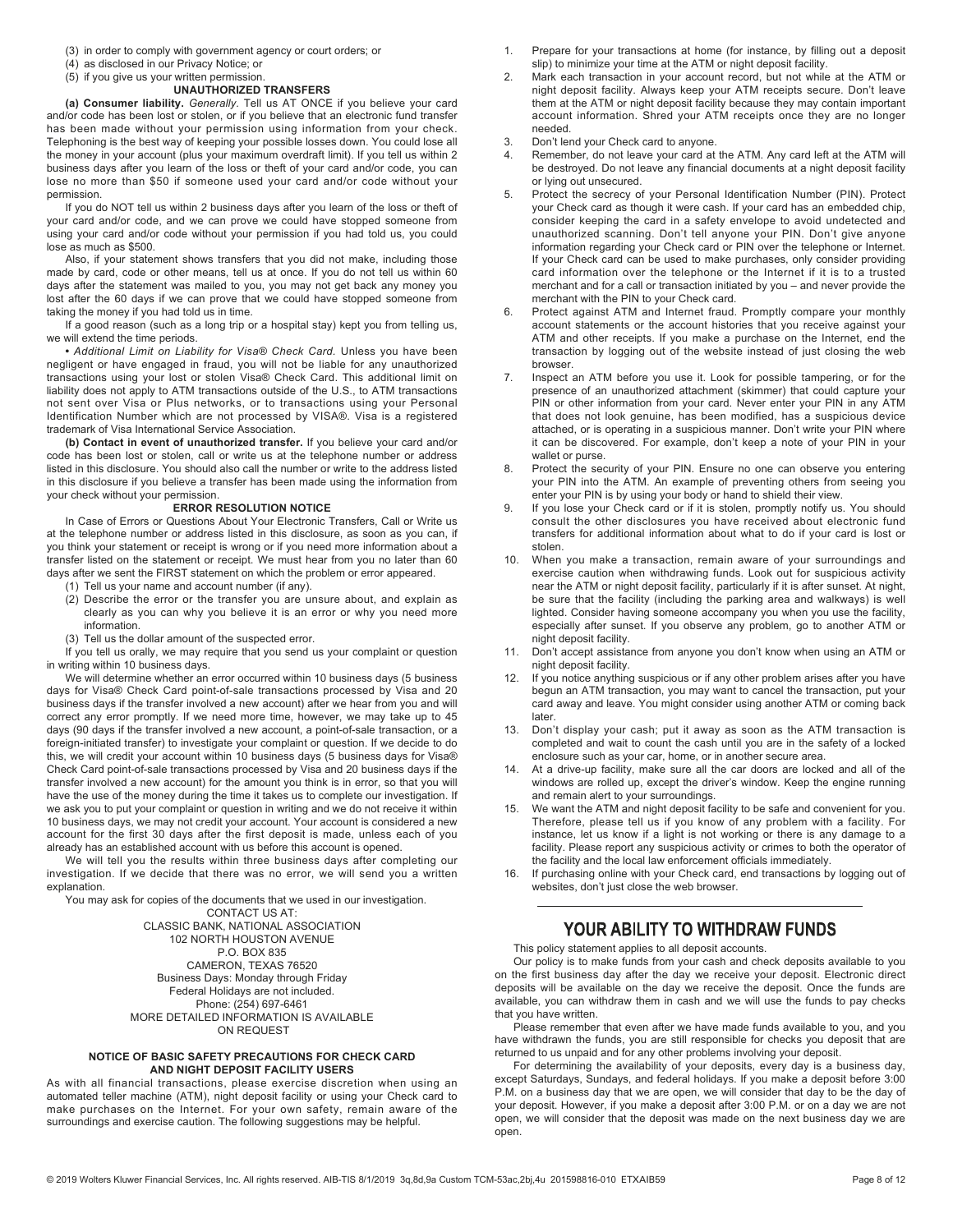- (3) in order to comply with government agency or court orders; or
- (4) as disclosed in our Privacy Notice; or

# (5) if you give us your written permission.

#### UNAUTHORIZED TRANSFERS

(a) Consumer liability. Generally. Tell us AT ONCE if you believe your card and/or code has been lost or stolen, or if you believe that an electronic fund transfer has been made without your permission using information from your check. Telephoning is the best way of keeping your possible losses down. You could lose all the money in your account (plus your maximum overdraft limit). If you tell us within 2 business days after you learn of the loss or theft of your card and/or code, you can lose no more than \$50 if someone used your card and/or code without your permission.

If you do NOT tell us within 2 business days after you learn of the loss or theft of your card and/or code, and we can prove we could have stopped someone from using your card and/or code without your permission if you had told us, you could lose as much as \$500.

Also, if your statement shows transfers that you did not make, including those made by card, code or other means, tell us at once. If you do not tell us within 60 days after the statement was mailed to you, you may not get back any money you lost after the 60 days if we can prove that we could have stopped someone from taking the money if you had told us in time.

If a good reason (such as a long trip or a hospital stay) kept you from telling us, we will extend the time periods.

• Additional Limit on Liability for Visa® Check Card. Unless you have been negligent or have engaged in fraud, you will not be liable for any unauthorized transactions using your lost or stolen Visa® Check Card. This additional limit on liability does not apply to ATM transactions outside of the U.S., to ATM transactions not sent over Visa or Plus networks, or to transactions using your Personal Identification Number which are not processed by VISA®. Visa is a registered trademark of Visa International Service Association.

(b) Contact in event of unauthorized transfer. If you believe your card and/or code has been lost or stolen, call or write us at the telephone number or address listed in this disclosure. You should also call the number or write to the address listed in this disclosure if you believe a transfer has been made using the information from your check without your permission.

#### ERROR RESOLUTION NOTICE

In Case of Errors or Questions About Your Electronic Transfers, Call or Write us at the telephone number or address listed in this disclosure, as soon as you can, if you think your statement or receipt is wrong or if you need more information about a transfer listed on the statement or receipt. We must hear from you no later than 60 days after we sent the FIRST statement on which the problem or error appeared.

- (1) Tell us your name and account number (if any).
- (2) Describe the error or the transfer you are unsure about, and explain as clearly as you can why you believe it is an error or why you need more information.
- (3) Tell us the dollar amount of the suspected error.

If you tell us orally, we may require that you send us your complaint or question in writing within 10 business days.

We will determine whether an error occurred within 10 business days (5 business days for Visa® Check Card point-of-sale transactions processed by Visa and 20 business days if the transfer involved a new account) after we hear from you and will correct any error promptly. If we need more time, however, we may take up to 45 days (90 days if the transfer involved a new account, a point-of-sale transaction, or a foreign-initiated transfer) to investigate your complaint or question. If we decide to do this, we will credit your account within 10 business days (5 business days for Visa® Check Card point-of-sale transactions processed by Visa and 20 business days if the transfer involved a new account) for the amount you think is in error, so that you will have the use of the money during the time it takes us to complete our investigation. If we ask you to put your complaint or question in writing and we do not receive it within 10 business days, we may not credit your account. Your account is considered a new account for the first 30 days after the first deposit is made, unless each of you already has an established account with us before this account is opened.

We will tell you the results within three business days after completing our investigation. If we decide that there was no error, we will send you a written explanation.

You may ask for copies of the documents that we used in our investigation. CONTACT US AT: CLASSIC BANK, NATIONAL ASSOCIATION 102 NORTH HOUSTON AVENUE P.O. BOX 835 CAMERON, TEXAS 76520 Business Days: Monday through Friday Federal Holidays are not included. Phone: (254) 697-6461 MORE DETAILED INFORMATION IS AVAILABLE ON REQUEST

#### NOTICE OF BASIC SAFETY PRECAUTIONS FOR CHECK CARD AND NIGHT DEPOSIT FACILITY USERS

As with all financial transactions, please exercise discretion when using an automated teller machine (ATM), night deposit facility or using your Check card to make purchases on the Internet. For your own safety, remain aware of the surroundings and exercise caution. The following suggestions may be helpful.

- 1. Prepare for your transactions at home (for instance, by filling out a deposit slip) to minimize your time at the ATM or night deposit facility.
- 2. Mark each transaction in your account record, but not while at the ATM or night deposit facility. Always keep your ATM receipts secure. Don't leave them at the ATM or night deposit facility because they may contain important account information. Shred your ATM receipts once they are no longer needed.
- 3. Don't lend your Check card to anyone.
- 4. Remember, do not leave your card at the ATM. Any card left at the ATM will be destroyed. Do not leave any financial documents at a night deposit facility or lying out unsecured.
- 5. Protect the secrecy of your Personal Identification Number (PIN). Protect your Check card as though it were cash. If your card has an embedded chip, consider keeping the card in a safety envelope to avoid undetected and unauthorized scanning. Don't tell anyone your PIN. Don't give anyone information regarding your Check card or PIN over the telephone or Internet. If your Check card can be used to make purchases, only consider providing card information over the telephone or the Internet if it is to a trusted merchant and for a call or transaction initiated by you – and never provide the merchant with the PIN to your Check card.
- 6. Protect against ATM and Internet fraud. Promptly compare your monthly account statements or the account histories that you receive against your ATM and other receipts. If you make a purchase on the Internet, end the transaction by logging out of the website instead of just closing the web browser.
- 7. Inspect an ATM before you use it. Look for possible tampering, or for the presence of an unauthorized attachment (skimmer) that could capture your PIN or other information from your card. Never enter your PIN in any ATM that does not look genuine, has been modified, has a suspicious device attached, or is operating in a suspicious manner. Don't write your PIN where it can be discovered. For example, don't keep a note of your PIN in your wallet or purse.
- 8. Protect the security of your PIN. Ensure no one can observe you entering your PIN into the ATM. An example of preventing others from seeing you enter your PIN is by using your body or hand to shield their view.
- 9. If you lose your Check card or if it is stolen, promptly notify us. You should consult the other disclosures you have received about electronic fund transfers for additional information about what to do if your card is lost or stolen.
- 10. When you make a transaction, remain aware of your surroundings and exercise caution when withdrawing funds. Look out for suspicious activity near the ATM or night deposit facility, particularly if it is after sunset. At night, be sure that the facility (including the parking area and walkways) is well lighted. Consider having someone accompany you when you use the facility, especially after sunset. If you observe any problem, go to another ATM or night deposit facility.
- 11. Don't accept assistance from anyone you don't know when using an ATM or night deposit facility.
- 12. If you notice anything suspicious or if any other problem arises after you have begun an ATM transaction, you may want to cancel the transaction, put your card away and leave. You might consider using another ATM or coming back later.
- 13. Don't display your cash; put it away as soon as the ATM transaction is completed and wait to count the cash until you are in the safety of a locked enclosure such as your car, home, or in another secure area.
- At a drive-up facility, make sure all the car doors are locked and all of the windows are rolled up, except the driver's window. Keep the engine running and remain alert to your surroundings.
- 15. We want the ATM and night deposit facility to be safe and convenient for you. Therefore, please tell us if you know of any problem with a facility. For instance, let us know if a light is not working or there is any damage to a facility. Please report any suspicious activity or crimes to both the operator of the facility and the local law enforcement officials immediately.
- 16. If purchasing online with your Check card, end transactions by logging out of websites, don't just close the web browser.

# **YOUR ABILITY TO WITHDRAW FUNDS**

This policy statement applies to all deposit accounts.

Our policy is to make funds from your cash and check deposits available to you on the first business day after the day we receive your deposit. Electronic direct deposits will be available on the day we receive the deposit. Once the funds are available, you can withdraw them in cash and we will use the funds to pay checks that you have written.

Please remember that even after we have made funds available to you, and you have withdrawn the funds, you are still responsible for checks you deposit that are returned to us unpaid and for any other problems involving your deposit.

For determining the availability of your deposits, every day is a business day, except Saturdays, Sundays, and federal holidays. If you make a deposit before 3:00 P.M. on a business day that we are open, we will consider that day to be the day of your deposit. However, if you make a deposit after 3:00 P.M. or on a day we are not open, we will consider that the deposit was made on the next business day we are open.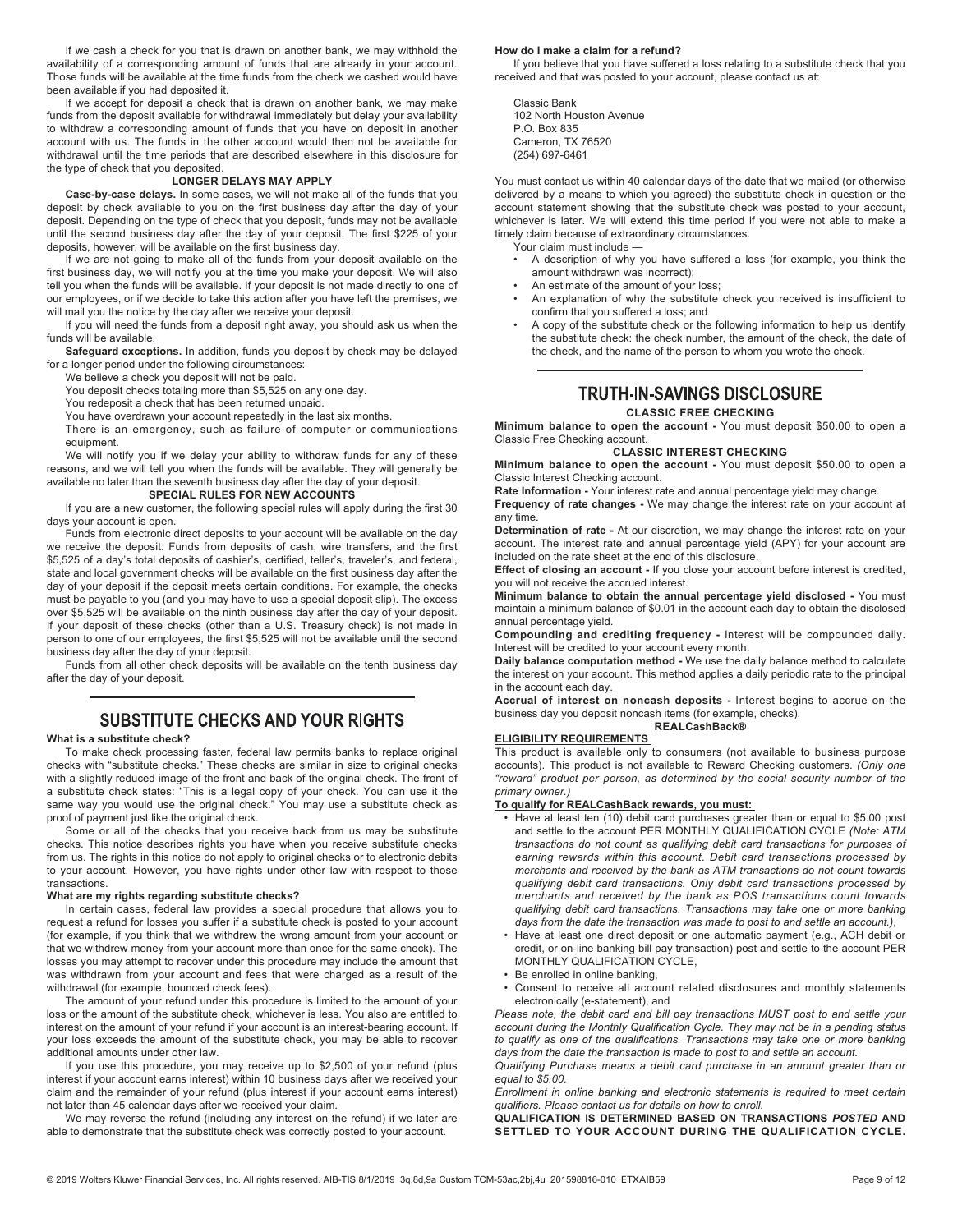If we cash a check for you that is drawn on another bank, we may withhold the availability of a corresponding amount of funds that are already in your account. Those funds will be available at the time funds from the check we cashed would have been available if you had deposited it.

If we accept for deposit a check that is drawn on another bank, we may make funds from the deposit available for withdrawal immediately but delay your availability to withdraw a corresponding amount of funds that you have on deposit in another account with us. The funds in the other account would then not be available for withdrawal until the time periods that are described elsewhere in this disclosure for the type of check that you deposited.

#### LONGER DELAYS MAY APPLY

Case-by-case delays. In some cases, we will not make all of the funds that you deposit by check available to you on the first business day after the day of your deposit. Depending on the type of check that you deposit, funds may not be available until the second business day after the day of your deposit. The first \$225 of your deposits, however, will be available on the first business day.

If we are not going to make all of the funds from your deposit available on the first business day, we will notify you at the time you make your deposit. We will also tell you when the funds will be available. If your deposit is not made directly to one of our employees, or if we decide to take this action after you have left the premises, we will mail you the notice by the day after we receive your deposit.

If you will need the funds from a deposit right away, you should ask us when the funds will be available.

Safeguard exceptions. In addition, funds you deposit by check may be delayed for a longer period under the following circumstances:

We believe a check you deposit will not be paid.

You deposit checks totaling more than \$5,525 on any one day.

You redeposit a check that has been returned unpaid.

You have overdrawn your account repeatedly in the last six months.

There is an emergency, such as failure of computer or communications equipment.

We will notify you if we delay your ability to withdraw funds for any of these reasons, and we will tell you when the funds will be available. They will generally be available no later than the seventh business day after the day of your deposit.

## SPECIAL RULES FOR NEW ACCOUNTS

If you are a new customer, the following special rules will apply during the first 30 days your account is open.

Funds from electronic direct deposits to your account will be available on the day we receive the deposit. Funds from deposits of cash, wire transfers, and the first \$5,525 of a day's total deposits of cashier's, certified, teller's, traveler's, and federal, state and local government checks will be available on the first business day after the day of your deposit if the deposit meets certain conditions. For example, the checks must be payable to you (and you may have to use a special deposit slip). The excess over \$5,525 will be available on the ninth business day after the day of your deposit. If your deposit of these checks (other than a U.S. Treasury check) is not made in person to one of our employees, the first \$5,525 will not be available until the second business day after the day of your deposit.

Funds from all other check deposits will be available on the tenth business day after the day of your deposit.

# **SUBSTITUTE CHECKS AND YOUR RIGHTS**

#### What is a substitute check?

To make check processing faster, federal law permits banks to replace original checks with "substitute checks." These checks are similar in size to original checks with a slightly reduced image of the front and back of the original check. The front of a substitute check states: "This is a legal copy of your check. You can use it the same way you would use the original check." You may use a substitute check as proof of payment just like the original check.

Some or all of the checks that you receive back from us may be substitute checks. This notice describes rights you have when you receive substitute checks from us. The rights in this notice do not apply to original checks or to electronic debits to your account. However, you have rights under other law with respect to those transactions.

# What are my rights regarding substitute checks?

In certain cases, federal law provides a special procedure that allows you to request a refund for losses you suffer if a substitute check is posted to your account (for example, if you think that we withdrew the wrong amount from your account or that we withdrew money from your account more than once for the same check). The losses you may attempt to recover under this procedure may include the amount that was withdrawn from your account and fees that were charged as a result of the withdrawal (for example, bounced check fees).

The amount of your refund under this procedure is limited to the amount of your loss or the amount of the substitute check, whichever is less. You also are entitled to interest on the amount of your refund if your account is an interest-bearing account. If your loss exceeds the amount of the substitute check, you may be able to recover additional amounts under other law.

If you use this procedure, you may receive up to \$2,500 of your refund (plus interest if your account earns interest) within 10 business days after we received your claim and the remainder of your refund (plus interest if your account earns interest) not later than 45 calendar days after we received your claim.

We may reverse the refund (including any interest on the refund) if we later are able to demonstrate that the substitute check was correctly posted to your account.

#### How do I make a claim for a refund?

If you believe that you have suffered a loss relating to a substitute check that you received and that was posted to your account, please contact us at:

Classic Bank 102 North Houston Avenue P.O. Box 835 Cameron, TX 76520 (254) 697-6461

You must contact us within 40 calendar days of the date that we mailed (or otherwise delivered by a means to which you agreed) the substitute check in question or the account statement showing that the substitute check was posted to your account, whichever is later. We will extend this time period if you were not able to make a timely claim because of extraordinary circumstances.

Your claim must include —

- A description of why you have suffered a loss (for example, you think the amount withdrawn was incorrect);
- An estimate of the amount of your loss;
- An explanation of why the substitute check you received is insufficient to confirm that you suffered a loss; and
- A copy of the substitute check or the following information to help us identify the substitute check: the check number, the amount of the check, the date of the check, and the name of the person to whom you wrote the check.

# **TRUTH-IN-SAVINGS DISCLOSURE**

#### CLASSIC FREE CHECKING

Minimum balance to open the account - You must deposit \$50.00 to open a Classic Free Checking account.

## CLASSIC INTEREST CHECKING

Minimum balance to open the account - You must deposit \$50.00 to open a Classic Interest Checking account.

Rate Information - Your interest rate and annual percentage yield may change.

Frequency of rate changes - We may change the interest rate on your account at any time.

Determination of rate - At our discretion, we may change the interest rate on your account. The interest rate and annual percentage yield (APY) for your account are included on the rate sheet at the end of this disclosure.

Effect of closing an account - If you close your account before interest is credited, you will not receive the accrued interest.

Minimum balance to obtain the annual percentage yield disclosed - You must maintain a minimum balance of \$0.01 in the account each day to obtain the disclosed annual percentage yield.

Compounding and crediting frequency - Interest will be compounded daily. Interest will be credited to your account every month.

Daily balance computation method - We use the daily balance method to calculate the interest on your account. This method applies a daily periodic rate to the principal in the account each day.

Accrual of interest on noncash deposits - Interest begins to accrue on the business day you deposit noncash items (for example, checks). REALCashBack®

#### ELIGIBILITY REQUIREMENTS

This product is available only to consumers (not available to business purpose accounts). This product is not available to Reward Checking customers. (Only one "reward" product per person, as determined by the social security number of the primary owner.)

#### To qualify for REALCashBack rewards, you must:

- Have at least ten (10) debit card purchases greater than or equal to \$5.00 post and settle to the account PER MONTHLY QUALIFICATION CYCLE (Note: ATM transactions do not count as qualifying debit card transactions for purposes of earning rewards within this account. Debit card transactions processed by merchants and received by the bank as ATM transactions do not count towards qualifying debit card transactions. Only debit card transactions processed by merchants and received by the bank as POS transactions count towards qualifying debit card transactions. Transactions may take one or more banking days from the date the transaction was made to post to and settle an account.),
- Have at least one direct deposit or one automatic payment (e.g., ACH debit or credit, or on-line banking bill pay transaction) post and settle to the account PER MONTHLY QUALIFICATION CYCLE,
- Be enrolled in online banking,
- Consent to receive all account related disclosures and monthly statements electronically (e-statement), and

Please note, the debit card and bill pay transactions MUST post to and settle your account during the Monthly Qualification Cycle. They may not be in a pending status to qualify as one of the qualifications. Transactions may take one or more banking days from the date the transaction is made to post to and settle an account.

Qualifying Purchase means a debit card purchase in an amount greater than or equal to \$5.00.

Enrollment in online banking and electronic statements is required to meet certain qualifiers. Please contact us for details on how to enroll.

QUALIFICATION IS DETERMINED BASED ON TRANSACTIONS POSTED AND SETTLED TO YOUR ACCOUNT DURING THE QUALIFICATION CYCLE.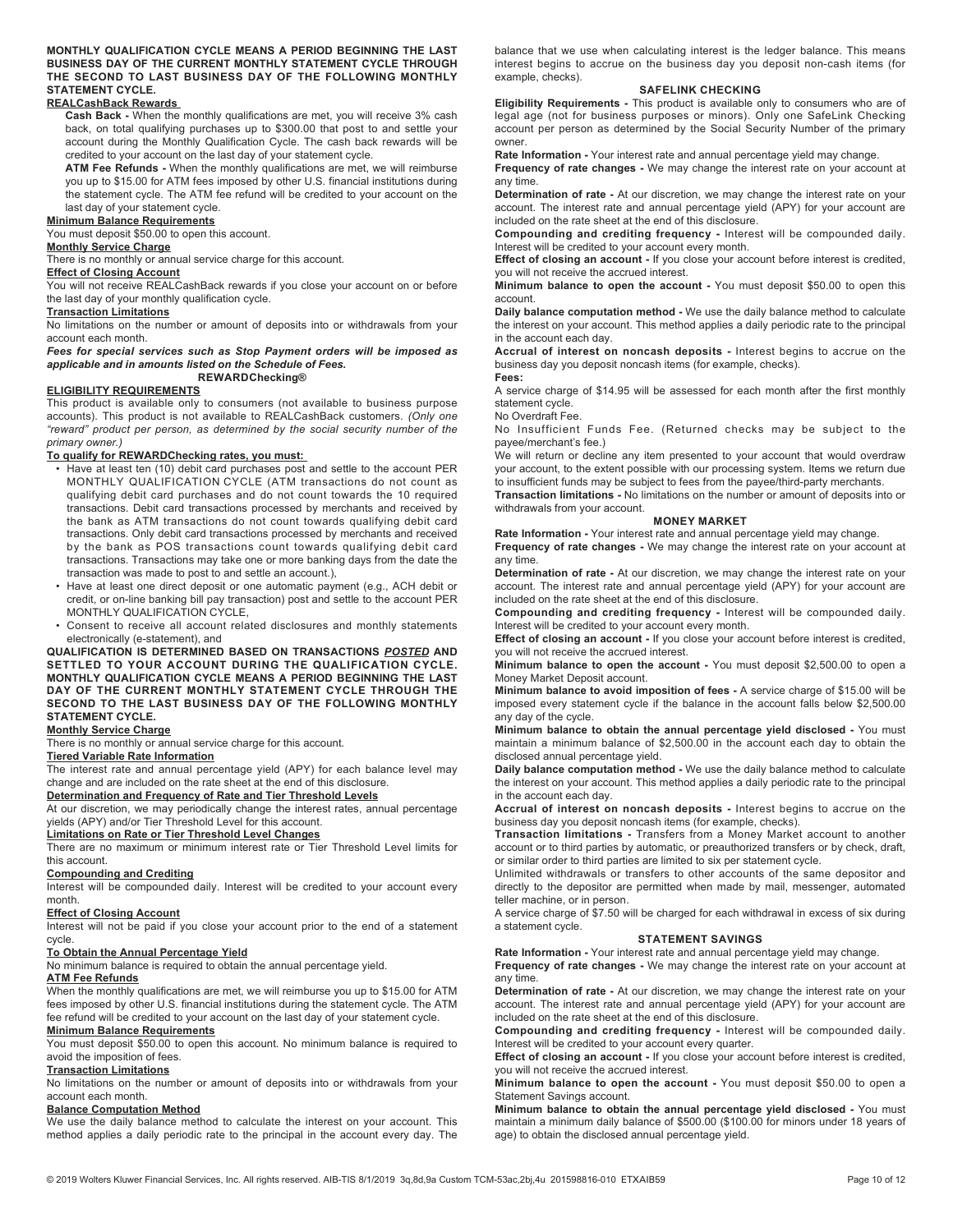MONTHLY QUALIFICATION CYCLE MEANS A PERIOD BEGINNING THE LAST BUSINESS DAY OF THE CURRENT MONTHLY STATEMENT CYCLE THROUGH THE SECOND TO LAST BUSINESS DAY OF THE FOLLOWING MONTHLY STATEMENT CYCLE.

### REALCashBack Rewards

Cash Back - When the monthly qualifications are met, you will receive 3% cash back, on total qualifying purchases up to \$300.00 that post to and settle your account during the Monthly Qualification Cycle. The cash back rewards will be credited to your account on the last day of your statement cycle.

ATM Fee Refunds - When the monthly qualifications are met, we will reimburse you up to \$15.00 for ATM fees imposed by other U.S. financial institutions during the statement cycle. The ATM fee refund will be credited to your account on the last day of your statement cycle.

### Minimum Balance Requirements

You must deposit \$50.00 to open this account.

#### Monthly Service Charge

There is no monthly or annual service charge for this account.

### Effect of Closing Account

You will not receive REALCashBack rewards if you close your account on or before the last day of your monthly qualification cycle.

#### Transaction Limitations

No limitations on the number or amount of deposits into or withdrawals from your account each month.

Fees for special services such as Stop Payment orders will be imposed as applicable and in amounts listed on the Schedule of Fees. REWARDChecking®

## ELIGIBILITY REQUIREMENTS

This product is available only to consumers (not available to business purpose accounts). This product is not available to REALCashBack customers. (Only one "reward" product per person, as determined by the social security number of the primary owner.)

## To qualify for REWARDChecking rates, you must:

- Have at least ten (10) debit card purchases post and settle to the account PER MONTHLY QUALIFICATION CYCLE (ATM transactions do not count as qualifying debit card purchases and do not count towards the 10 required transactions. Debit card transactions processed by merchants and received by the bank as ATM transactions do not count towards qualifying debit card transactions. Only debit card transactions processed by merchants and received by the bank as POS transactions count towards qualifying debit card transactions. Transactions may take one or more banking days from the date the transaction was made to post to and settle an account.),
- Have at least one direct deposit or one automatic payment (e.g., ACH debit or credit, or on-line banking bill pay transaction) post and settle to the account PER MONTHLY QUALIFICATION CYCLE,
- Consent to receive all account related disclosures and monthly statements electronically (e-statement), and

QUALIFICATION IS DETERMINED BASED ON TRANSACTIONS POSTED AND SETTLED TO YOUR ACCOUNT DURING THE QUALIFICATION CYCLE. MONTHLY QUALIFICATION CYCLE MEANS A PERIOD BEGINNING THE LAST DAY OF THE CURRENT MONTHLY STATEMENT CYCLE THROUGH THE SECOND TO THE LAST BUSINESS DAY OF THE FOLLOWING MONTHLY STATEMENT CYCLE.

#### **Monthly Service Charge**

There is no monthly or annual service charge for this account.

#### Tiered Variable Rate Information

The interest rate and annual percentage yield (APY) for each balance level may change and are included on the rate sheet at the end of this disclosure.

### Determination and Frequency of Rate and Tier Threshold Levels

At our discretion, we may periodically change the interest rates, annual percentage yields (APY) and/or Tier Threshold Level for this account.

# Limitations on Rate or Tier Threshold Level Changes

There are no maximum or minimum interest rate or Tier Threshold Level limits for this account.

### Compounding and Crediting

Interest will be compounded daily. Interest will be credited to your account every month.

### Effect of Closing Account

Interest will not be paid if you close your account prior to the end of a statement cycle.

## To Obtain the Annual Percentage Yield

No minimum balance is required to obtain the annual percentage yield.

## **ATM Fee Refunds**

When the monthly qualifications are met, we will reimburse you up to \$15.00 for ATM fees imposed by other U.S. financial institutions during the statement cycle. The ATM fee refund will be credited to your account on the last day of your statement cycle.

### Minimum Balance Requirements

You must deposit \$50.00 to open this account. No minimum balance is required to avoid the imposition of fees.

# Transaction Limitations

No limitations on the number or amount of deposits into or withdrawals from your account each month.

## Balance Computation Method

We use the daily balance method to calculate the interest on your account. This method applies a daily periodic rate to the principal in the account every day. The

balance that we use when calculating interest is the ledger balance. This means interest begins to accrue on the business day you deposit non-cash items (for example, checks).

#### SAFELINK CHECKING

Eligibility Requirements - This product is available only to consumers who are of legal age (not for business purposes or minors). Only one SafeLink Checking account per person as determined by the Social Security Number of the primary owner.

Rate Information - Your interest rate and annual percentage yield may change.

Frequency of rate changes - We may change the interest rate on your account at any time.

Determination of rate - At our discretion, we may change the interest rate on your account. The interest rate and annual percentage yield (APY) for your account are included on the rate sheet at the end of this disclosure.

Compounding and crediting frequency - Interest will be compounded daily. Interest will be credited to your account every month.

Effect of closing an account - If you close your account before interest is credited, you will not receive the accrued interest.

Minimum balance to open the account - You must deposit \$50.00 to open this account.

Daily balance computation method - We use the daily balance method to calculate the interest on your account. This method applies a daily periodic rate to the principal in the account each day.

Accrual of interest on noncash deposits - Interest begins to accrue on the business day you deposit noncash items (for example, checks). Fees:

A service charge of \$14.95 will be assessed for each month after the first monthly statement cycle.

No Overdraft Fee.

No Insufficient Funds Fee. (Returned checks may be subject to the payee/merchant's fee.)

We will return or decline any item presented to your account that would overdraw your account, to the extent possible with our processing system. Items we return due to insufficient funds may be subject to fees from the payee/third-party merchants.

Transaction limitations - No limitations on the number or amount of deposits into or withdrawals from your account.

### MONEY MARKET

Rate Information - Your interest rate and annual percentage yield may change. Frequency of rate changes - We may change the interest rate on your account at any time.

Determination of rate - At our discretion, we may change the interest rate on your account. The interest rate and annual percentage yield (APY) for your account are included on the rate sheet at the end of this disclosure.

Compounding and crediting frequency - Interest will be compounded daily. Interest will be credited to your account every month.

Effect of closing an account - If you close your account before interest is credited, you will not receive the accrued interest.

Minimum balance to open the account - You must deposit \$2,500.00 to open a Money Market Deposit account.

Minimum balance to avoid imposition of fees - A service charge of \$15.00 will be imposed every statement cycle if the balance in the account falls below \$2,500.00 any day of the cycle.

Minimum balance to obtain the annual percentage yield disclosed - You must maintain a minimum balance of \$2,500.00 in the account each day to obtain the disclosed annual percentage yield.

Daily balance computation method - We use the daily balance method to calculate the interest on your account. This method applies a daily periodic rate to the principal in the account each day.

Accrual of interest on noncash deposits - Interest begins to accrue on the business day you deposit noncash items (for example, checks).

Transaction limitations - Transfers from a Money Market account to another account or to third parties by automatic, or preauthorized transfers or by check, draft, or similar order to third parties are limited to six per statement cycle.

Unlimited withdrawals or transfers to other accounts of the same depositor and directly to the depositor are permitted when made by mail, messenger, automated teller machine, or in person.

A service charge of \$7.50 will be charged for each withdrawal in excess of six during a statement cycle.

#### STATEMENT SAVINGS

Rate Information - Your interest rate and annual percentage yield may change.

Frequency of rate changes - We may change the interest rate on your account at any time.

Determination of rate - At our discretion, we may change the interest rate on your account. The interest rate and annual percentage yield (APY) for your account are included on the rate sheet at the end of this disclosure.

Compounding and crediting frequency - Interest will be compounded daily. Interest will be credited to your account every quarter.

Effect of closing an account - If you close your account before interest is credited, you will not receive the accrued interest.

Minimum balance to open the account - You must deposit \$50.00 to open a Statement Savings account.

Minimum balance to obtain the annual percentage yield disclosed - You must maintain a minimum daily balance of \$500.00 (\$100.00 for minors under 18 years of age) to obtain the disclosed annual percentage yield.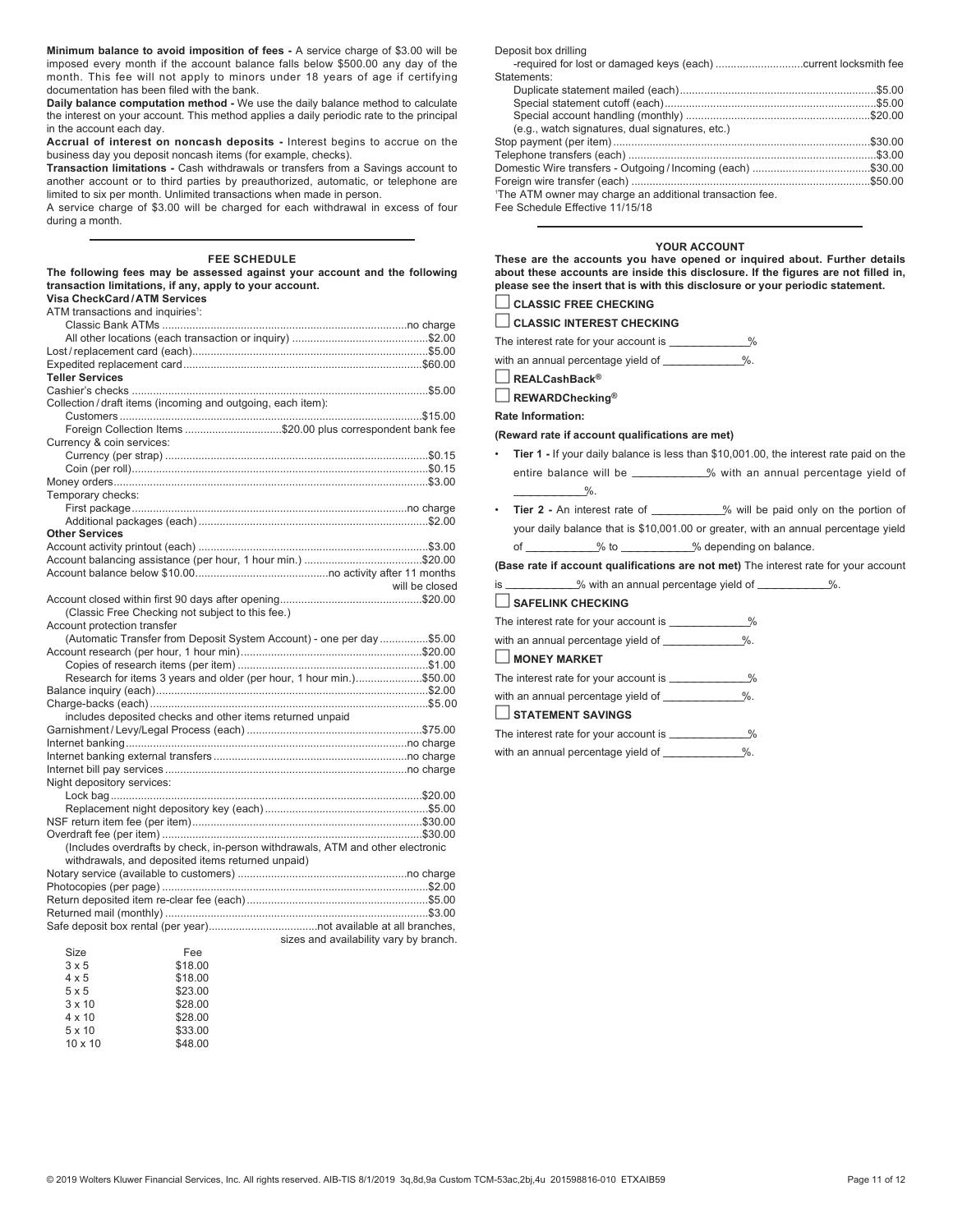Minimum balance to avoid imposition of fees - A service charge of \$3.00 will be imposed every month if the account balance falls below \$500.00 any day of the month. This fee will not apply to minors under 18 years of age if certifying documentation has been filed with the bank.

Daily balance computation method - We use the daily balance method to calculate the interest on your account. This method applies a daily periodic rate to the principal in the account each day.

Accrual of interest on noncash deposits - Interest begins to accrue on the business day you deposit noncash items (for example, checks).

Transaction limitations - Cash withdrawals or transfers from a Savings account to another account or to third parties by preauthorized, automatic, or telephone are limited to six per month. Unlimited transactions when made in person.

A service charge of \$3.00 will be charged for each withdrawal in excess of four during a month.

## FEE SCHEDULE

The following fees may be assessed against your account and the following transaction limitations, if any, apply to your account.

| transaction limitations, if any, apply to your account.    |         |                                                                                |
|------------------------------------------------------------|---------|--------------------------------------------------------------------------------|
| <b>Visa CheckCard/ATM Services</b>                         |         |                                                                                |
| ATM transactions and inquiries <sup>1</sup> :              |         |                                                                                |
|                                                            |         |                                                                                |
|                                                            |         |                                                                                |
|                                                            |         |                                                                                |
|                                                            |         |                                                                                |
| <b>Teller Services</b>                                     |         |                                                                                |
|                                                            |         |                                                                                |
| Collection/draft items (incoming and outgoing, each item): |         |                                                                                |
|                                                            |         |                                                                                |
|                                                            |         | Foreign Collection Items \$20.00 plus correspondent bank fee                   |
| Currency & coin services:                                  |         |                                                                                |
|                                                            |         |                                                                                |
|                                                            |         |                                                                                |
|                                                            |         |                                                                                |
| Temporary checks:                                          |         |                                                                                |
|                                                            |         |                                                                                |
|                                                            |         |                                                                                |
| <b>Other Services</b>                                      |         |                                                                                |
|                                                            |         |                                                                                |
|                                                            |         |                                                                                |
|                                                            |         |                                                                                |
|                                                            |         |                                                                                |
|                                                            |         | will be closed                                                                 |
|                                                            |         |                                                                                |
| (Classic Free Checking not subject to this fee.)           |         |                                                                                |
| Account protection transfer                                |         |                                                                                |
|                                                            |         | (Automatic Transfer from Deposit System Account) - one per day \$5.00          |
|                                                            |         |                                                                                |
|                                                            |         |                                                                                |
|                                                            |         | Research for items 3 years and older (per hour, 1 hour min.)\$50.00            |
|                                                            |         |                                                                                |
|                                                            |         |                                                                                |
| includes deposited checks and other items returned unpaid  |         |                                                                                |
|                                                            |         |                                                                                |
|                                                            |         |                                                                                |
|                                                            |         |                                                                                |
|                                                            |         |                                                                                |
| Night depository services:                                 |         |                                                                                |
|                                                            |         |                                                                                |
|                                                            |         |                                                                                |
|                                                            |         |                                                                                |
|                                                            |         |                                                                                |
|                                                            |         | (Includes overdrafts by check, in-person withdrawals, ATM and other electronic |
| withdrawals, and deposited items returned unpaid)          |         |                                                                                |
|                                                            |         |                                                                                |
|                                                            |         |                                                                                |
|                                                            |         |                                                                                |
|                                                            |         |                                                                                |
|                                                            |         |                                                                                |
|                                                            |         | sizes and availability vary by branch.                                         |
| Size                                                       | Fee     |                                                                                |
| $3 \times 5$                                               | \$18.00 |                                                                                |
| $4 \times 5$                                               | \$18.00 |                                                                                |

| 3 X D          | 310.UU  |
|----------------|---------|
| $4 \times 5$   | \$18.00 |
| $5 \times 5$   | \$23.00 |
| $3 \times 10$  | \$28.00 |
| $4 \times 10$  | \$28.00 |
| $5 \times 10$  | \$33.00 |
| $10 \times 10$ | \$48.00 |

Deposit box drilling

| Statements:                                                          |  |
|----------------------------------------------------------------------|--|
|                                                                      |  |
|                                                                      |  |
|                                                                      |  |
| (e.g., watch signatures, dual signatures, etc.)                      |  |
|                                                                      |  |
|                                                                      |  |
|                                                                      |  |
|                                                                      |  |
| <sup>1</sup> The ATM owner may charge an additional transaction fee. |  |

Fee Schedule Effective 11/15/18

## YOUR ACCOUNT

These are the accounts you have opened or inquired about. Further details about these accounts are inside this disclosure. If the figures are not filled in, please see the insert that is with this disclosure or your periodic statement.

# $\Box$  CLASSIC FREE CHECKING

 $\Box$  CLASSIC INTEREST CHECKING

The interest rate for your account is \_\_\_\_\_\_\_\_\_\_\_\_%

with an annual percentage yield of \_\_\_\_\_\_\_\_\_\_\_\_%.

 $\Box$  REALCashBack®

 $\Box$  REWARDChecking®

Rate Information:

### (Reward rate if account qualifications are met)

- Tier 1 If your daily balance is less than \$10,001.00, the interest rate paid on the entire balance will be \_\_\_\_\_\_\_\_\_\_\_% with an annual percentage yield of  $\frac{9}{6}$ .
- Tier 2 An interest rate of \_\_\_\_\_\_\_\_\_\_\_% will be paid only on the portion of your daily balance that is \$10,001.00 or greater, with an annual percentage yield of —————————% to —————————% depending on balance.

(Base rate if account qualifications are not met) The interest rate for your account

is \_\_\_\_\_\_\_\_\_\_\_% with an annual percentage yield of \_\_\_\_\_\_\_\_\_\_\_%.

# $\Box$  SAFELINK CHECKING

- The interest rate for your account is \_\_\_\_\_\_\_\_\_\_\_\_%
- with an annual percentage yield of \_\_\_\_\_\_\_\_\_\_\_\_%.

## $\Box$  MONEY MARKET

The interest rate for your account is \_\_\_\_\_\_\_\_\_\_\_\_%

with an annual percentage yield of \_\_\_\_\_\_\_\_\_\_\_\_%.

## $\Box$  STATEMENT SAVINGS

The interest rate for your account is \_\_\_\_\_\_\_\_\_\_\_\_% with an annual percentage yield of \_\_\_\_\_\_\_\_\_\_\_\_%.